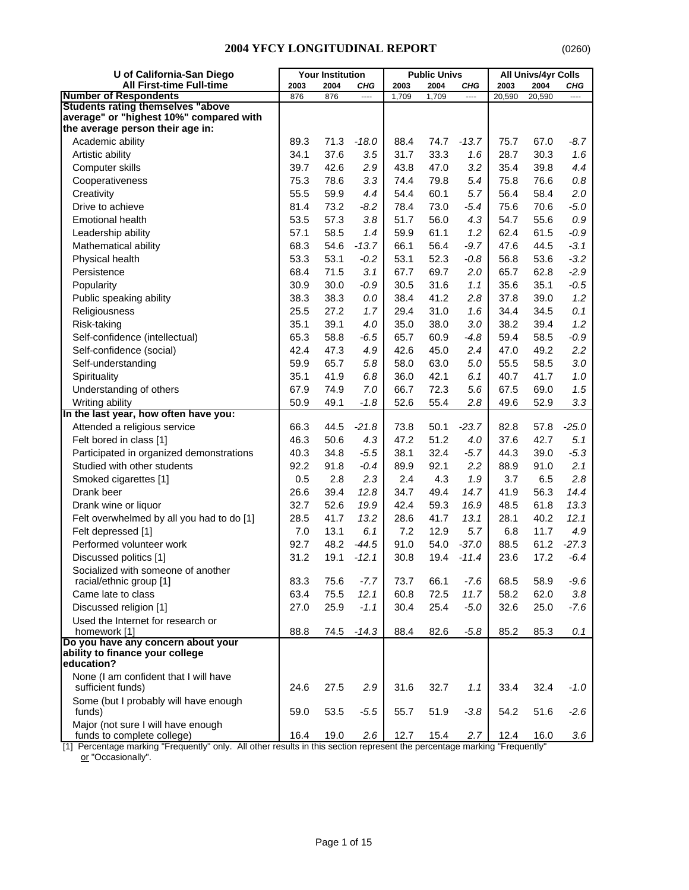| U of California-San Diego                                       |      | <b>Your Institution</b> |                                 |       | <b>Public Univs</b> |         |        | All Univs/4yr Colls |                       |
|-----------------------------------------------------------------|------|-------------------------|---------------------------------|-------|---------------------|---------|--------|---------------------|-----------------------|
| <b>All First-time Full-time</b><br><b>Number of Respondents</b> | 2003 | 2004                    | CHG<br>$\overline{\phantom{a}}$ | 2003  | 2004                | CHG     | 2003   | 2004                | CHG<br>$\overline{a}$ |
| <b>Students rating themselves "above</b>                        | 876  | 876                     |                                 | 1,709 | 1,709               | ----    | 20,590 | 20,590              |                       |
| average" or "highest 10%" compared with                         |      |                         |                                 |       |                     |         |        |                     |                       |
| the average person their age in:                                |      |                         |                                 |       |                     |         |        |                     |                       |
| Academic ability                                                | 89.3 | 71.3                    | $-18.0$                         | 88.4  | 74.7                | $-13.7$ | 75.7   | 67.0                | $-8.7$                |
| Artistic ability                                                | 34.1 | 37.6                    | 3.5                             | 31.7  | 33.3                | 1.6     | 28.7   | 30.3                | 1.6                   |
| Computer skills                                                 | 39.7 | 42.6                    | 2.9                             | 43.8  | 47.0                | 3.2     | 35.4   | 39.8                | 4.4                   |
| Cooperativeness                                                 | 75.3 | 78.6                    | 3.3                             | 74.4  | 79.8                | 5.4     | 75.8   | 76.6                | $0.8\,$               |
| Creativity                                                      | 55.5 | 59.9                    | 4.4                             | 54.4  | 60.1                | 5.7     | 56.4   | 58.4                | 2.0                   |
| Drive to achieve                                                | 81.4 | 73.2                    | $-8.2$                          | 78.4  | 73.0                | $-5.4$  | 75.6   | 70.6                | $-5.0$                |
| <b>Emotional health</b>                                         | 53.5 | 57.3                    | 3.8                             | 51.7  | 56.0                | 4.3     | 54.7   | 55.6                | $0.9\,$               |
| Leadership ability                                              | 57.1 | 58.5                    | 1.4                             | 59.9  | 61.1                | 1.2     | 62.4   | 61.5                | $-0.9$                |
| Mathematical ability                                            | 68.3 | 54.6                    | $-13.7$                         | 66.1  | 56.4                | $-9.7$  | 47.6   | 44.5                | $-3.1$                |
| Physical health                                                 | 53.3 | 53.1                    | $-0.2$                          | 53.1  | 52.3                | $-0.8$  | 56.8   | 53.6                | $-3.2$                |
| Persistence                                                     | 68.4 | 71.5                    | 3.1                             | 67.7  | 69.7                |         | 65.7   | 62.8                | $-2.9$                |
|                                                                 | 30.9 |                         |                                 |       |                     | 2.0     |        |                     |                       |
| Popularity                                                      |      | 30.0                    | $-0.9$                          | 30.5  | 31.6                | 1.1     | 35.6   | 35.1                | $-0.5$                |
| Public speaking ability                                         | 38.3 | 38.3                    | 0.0                             | 38.4  | 41.2                | 2.8     | 37.8   | 39.0                | 1.2                   |
| Religiousness                                                   | 25.5 | 27.2                    | 1.7                             | 29.4  | 31.0                | 1.6     | 34.4   | 34.5                | 0.1                   |
| Risk-taking                                                     | 35.1 | 39.1                    | 4.0                             | 35.0  | 38.0                | 3.0     | 38.2   | 39.4                | 1.2                   |
| Self-confidence (intellectual)                                  | 65.3 | 58.8                    | $-6.5$                          | 65.7  | 60.9                | $-4.8$  | 59.4   | 58.5                | $-0.9$                |
| Self-confidence (social)                                        | 42.4 | 47.3                    | 4.9                             | 42.6  | 45.0                | 2.4     | 47.0   | 49.2                | 2.2                   |
| Self-understanding                                              | 59.9 | 65.7                    | 5.8                             | 58.0  | 63.0                | $5.0\,$ | 55.5   | 58.5                | 3.0                   |
| Spirituality                                                    | 35.1 | 41.9                    | 6.8                             | 36.0  | 42.1                | 6.1     | 40.7   | 41.7                | 1.0                   |
| Understanding of others                                         | 67.9 | 74.9                    | 7.0                             | 66.7  | 72.3                | 5.6     | 67.5   | 69.0                | 1.5                   |
| Writing ability                                                 | 50.9 | 49.1                    | $-1.8$                          | 52.6  | 55.4                | 2.8     | 49.6   | 52.9                | 3.3                   |
| In the last year, how often have you:                           |      |                         |                                 |       |                     |         |        |                     |                       |
| Attended a religious service                                    | 66.3 | 44.5                    | $-21.8$                         | 73.8  | 50.1                | $-23.7$ | 82.8   | 57.8                | $-25.0$               |
| Felt bored in class [1]                                         | 46.3 | 50.6                    | 4.3                             | 47.2  | 51.2                | 4.0     | 37.6   | 42.7                | 5.1                   |
| Participated in organized demonstrations                        | 40.3 | 34.8                    | $-5.5$                          | 38.1  | 32.4                | $-5.7$  | 44.3   | 39.0                | $-5.3$                |
| Studied with other students                                     | 92.2 | 91.8                    | $-0.4$                          | 89.9  | 92.1                | 2.2     | 88.9   | 91.0                | 2.1                   |
| Smoked cigarettes [1]                                           | 0.5  | 2.8                     | 2.3                             | 2.4   | 4.3                 | 1.9     | 3.7    | 6.5                 | 2.8                   |
| Drank beer                                                      | 26.6 | 39.4                    | 12.8                            | 34.7  | 49.4                | 14.7    | 41.9   | 56.3                | 14.4                  |
| Drank wine or liquor                                            | 32.7 | 52.6                    | 19.9                            | 42.4  | 59.3                | 16.9    | 48.5   | 61.8                | 13.3                  |
| Felt overwhelmed by all you had to do [1]                       | 28.5 | 41.7                    | 13.2                            | 28.6  | 41.7                | 13.1    | 28.1   | 40.2                | 12.1                  |
| Felt depressed [1]                                              | 7.0  | 13.1                    | 6.1                             | 7.2   | 12.9                | 5.7     | 6.8    | 11.7                | 4.9                   |
| Performed volunteer work                                        | 92.7 | 48.2                    | $-44.5$                         | 91.0  | 54.0                | $-37.0$ | 88.5   | 61.2                | $-27.3$               |
| Discussed politics [1]                                          | 31.2 | 19.1                    | $-12.1$                         | 30.8  | 19.4                | $-11.4$ | 23.6   | 17.2                | $-6.4$                |
| Socialized with someone of another                              |      |                         |                                 |       |                     |         |        |                     |                       |
| racial/ethnic group [1]                                         | 83.3 | 75.6                    | $-7.7$                          | 73.7  | 66.1                | $-7.6$  | 68.5   | 58.9                | $-9.6$                |
| Came late to class                                              | 63.4 | 75.5                    | 12.1                            | 60.8  | 72.5                | 11.7    | 58.2   | 62.0                | 3.8                   |
| Discussed religion [1]                                          | 27.0 | 25.9                    | $-1.1$                          | 30.4  | 25.4                | $-5.0$  | 32.6   | 25.0                | $-7.6$                |
| Used the Internet for research or                               |      |                         |                                 |       |                     |         |        |                     |                       |
| homework [1]                                                    | 88.8 | 74.5                    | $-14.3$                         | 88.4  | 82.6                | $-5.8$  | 85.2   | 85.3                | 0.1                   |
| Do you have any concern about your                              |      |                         |                                 |       |                     |         |        |                     |                       |
| ability to finance your college<br>education?                   |      |                         |                                 |       |                     |         |        |                     |                       |
| None (I am confident that I will have                           |      |                         |                                 |       |                     |         |        |                     |                       |
| sufficient funds)                                               | 24.6 | 27.5                    | 2.9                             | 31.6  | 32.7                | 1.1     | 33.4   | 32.4                | $-1.0$                |
| Some (but I probably will have enough                           |      |                         |                                 |       |                     |         |        |                     |                       |
| funds)                                                          | 59.0 | 53.5                    | $-5.5$                          | 55.7  | 51.9                | $-3.8$  | 54.2   | 51.6                | $-2.6$                |
| Major (not sure I will have enough                              |      |                         |                                 |       |                     |         |        |                     |                       |
| funds to complete college)                                      | 16.4 | 19.0                    | 2.6                             | 12.7  | 15.4                | 2.7     | 12.4   | 16.0                | 3.6                   |

[1] Percentage marking "Frequently" only. All other results in this section represent the percentage marking "Frequently" <u>or</u> "Occasionally".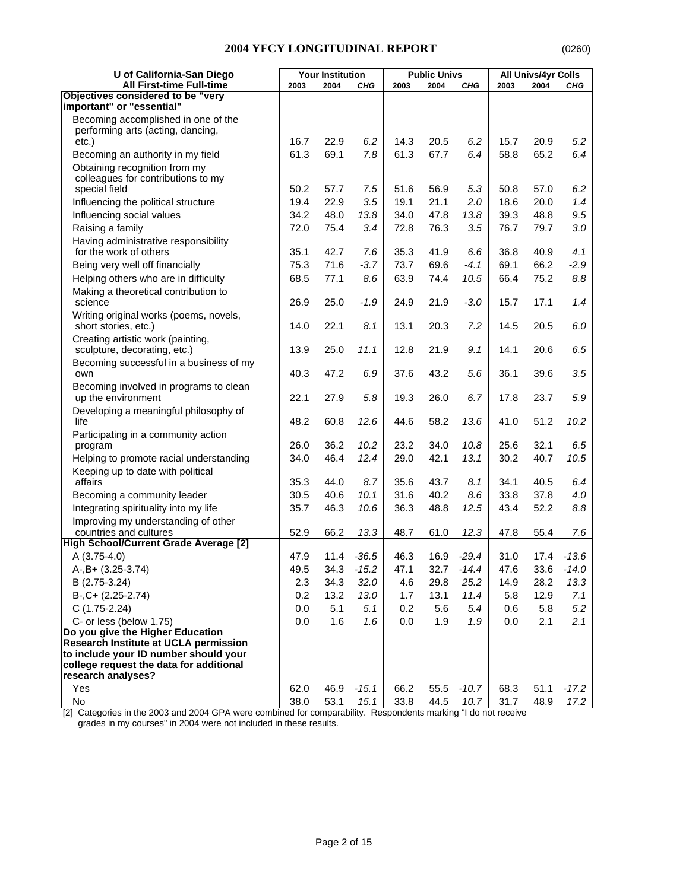| U of California-San Diego                                               |              | <b>Your Institution</b> |               |              | <b>Public Univs</b> |              |              | <b>All Univs/4yr Colls</b> |            |
|-------------------------------------------------------------------------|--------------|-------------------------|---------------|--------------|---------------------|--------------|--------------|----------------------------|------------|
| <b>All First-time Full-time</b>                                         | 2003         | 2004                    | CHG           | 2003         | 2004                | CHG          | 2003         | 2004                       | CHG        |
| Objectives considered to be "very<br>important" or "essential"          |              |                         |               |              |                     |              |              |                            |            |
| Becoming accomplished in one of the                                     |              |                         |               |              |                     |              |              |                            |            |
| performing arts (acting, dancing,                                       |              |                         |               |              |                     |              |              |                            |            |
| $etc.$ )                                                                | 16.7         | 22.9                    | 6.2           | 14.3         | 20.5                | 6.2          | 15.7         | 20.9                       | 5.2        |
| Becoming an authority in my field                                       | 61.3         | 69.1                    | 7.8           | 61.3         | 67.7                | 6.4          | 58.8         | 65.2                       | 6.4        |
| Obtaining recognition from my                                           |              |                         |               |              |                     |              |              |                            |            |
| colleagues for contributions to my                                      |              |                         |               |              |                     |              |              |                            |            |
| special field                                                           | 50.2         | 57.7                    | 7.5           | 51.6         | 56.9                | 5.3          | 50.8         | 57.0                       | 6.2        |
| Influencing the political structure                                     | 19.4         | 22.9<br>48.0            | 3.5           | 19.1         | 21.1                | 2.0          | 18.6         | 20.0                       | 1.4<br>9.5 |
| Influencing social values                                               | 34.2<br>72.0 | 75.4                    | 13.8<br>3.4   | 34.0<br>72.8 | 47.8<br>76.3        | 13.8<br>3.5  | 39.3<br>76.7 | 48.8<br>79.7               | 3.0        |
| Raising a family                                                        |              |                         |               |              |                     |              |              |                            |            |
| Having administrative responsibility<br>for the work of others          | 35.1         | 42.7                    | 7.6           | 35.3         | 41.9                | 6.6          | 36.8         | 40.9                       | 4.1        |
| Being very well off financially                                         | 75.3         | 71.6                    | $-3.7$        | 73.7         | 69.6                | $-4.1$       | 69.1         | 66.2                       | $-2.9$     |
| Helping others who are in difficulty                                    | 68.5         | 77.1                    | 8.6           | 63.9         | 74.4                | 10.5         | 66.4         | 75.2                       | 8.8        |
| Making a theoretical contribution to                                    |              |                         |               |              |                     |              |              |                            |            |
| science                                                                 | 26.9         | 25.0                    | $-1.9$        | 24.9         | 21.9                | $-3.0$       | 15.7         | 17.1                       | 1.4        |
| Writing original works (poems, novels,                                  |              |                         |               |              |                     |              |              |                            |            |
| short stories, etc.)                                                    | 14.0         | 22.1                    | 8.1           | 13.1         | 20.3                | 7.2          | 14.5         | 20.5                       | 6.0        |
| Creating artistic work (painting,                                       |              |                         |               |              |                     |              |              |                            |            |
| sculpture, decorating, etc.)<br>Becoming successful in a business of my | 13.9         | 25.0                    | 11.1          | 12.8         | 21.9                | 9.1          | 14.1         | 20.6                       | 6.5        |
| own                                                                     | 40.3         | 47.2                    | 6.9           | 37.6         | 43.2                | 5.6          | 36.1         | 39.6                       | 3.5        |
| Becoming involved in programs to clean                                  |              |                         |               |              |                     |              |              |                            |            |
| up the environment                                                      | 22.1         | 27.9                    | 5.8           | 19.3         | 26.0                | 6.7          | 17.8         | 23.7                       | 5.9        |
| Developing a meaningful philosophy of                                   |              |                         |               |              |                     |              |              |                            |            |
| life                                                                    | 48.2         | 60.8                    | 12.6          | 44.6         | 58.2                | 13.6         | 41.0         | 51.2                       | 10.2       |
| Participating in a community action                                     |              |                         |               |              |                     |              |              |                            |            |
| program                                                                 | 26.0         | 36.2                    | 10.2          | 23.2         | 34.0                | 10.8         | 25.6         | 32.1                       | 6.5        |
| Helping to promote racial understanding                                 | 34.0         | 46.4                    | 12.4          | 29.0         | 42.1                | 13.1         | 30.2         | 40.7                       | 10.5       |
| Keeping up to date with political<br>affairs                            | 35.3         | 44.0                    | 8.7           | 35.6         | 43.7                | 8.1          | 34.1         | 40.5                       | 6.4        |
| Becoming a community leader                                             | 30.5         | 40.6                    | 10.1          | 31.6         | 40.2                | 8.6          | 33.8         | 37.8                       | 4.0        |
| Integrating spirituality into my life                                   | 35.7         | 46.3                    | 10.6          | 36.3         | 48.8                | 12.5         | 43.4         | 52.2                       | 8.8        |
| Improving my understanding of other                                     |              |                         |               |              |                     |              |              |                            |            |
| countries and cultures                                                  | 52.9         | 66.2                    | 13.3          | 48.7         | 61.0                | 12.3         | 47.8         | 55.4                       | 7.6        |
| <b>High School/Current Grade Average [2]</b>                            |              |                         |               |              |                     |              |              |                            |            |
| A (3.75-4.0)                                                            | 47.9         | 11.4                    | $-36.5$       | 46.3         | 16.9                | $-29.4$      | 31.0         |                            | 17.4 -13.6 |
| $A-, B+ (3.25-3.74)$                                                    | 49.5         |                         | $34.3 - 15.2$ | 47.1         |                     | $32.7 -14.4$ | 47.6         |                            | 33.6 -14.0 |
| B (2.75-3.24)                                                           | 2.3          | 34.3                    | 32.0          | 4.6          | 29.8                | 25.2         | 14.9         | 28.2                       | 13.3       |
| $B-, C+ (2.25-2.74)$                                                    | 0.2          | 13.2                    | 13.0          | 1.7          | 13.1                | 11.4         | 5.8          | 12.9                       | 7.1        |
| $C(1.75-2.24)$                                                          | 0.0          | 5.1                     | 5.1           | 0.2          | 5.6                 | 5.4          | 0.6          | 5.8                        | 5.2        |
| C- or less (below 1.75)<br>Do you give the Higher Education             | 0.0          | 1.6                     | 1.6           | 0.0          | 1.9                 | 1.9          | 0.0          | 2.1                        | 2.1        |
| <b>Research Institute at UCLA permission</b>                            |              |                         |               |              |                     |              |              |                            |            |
| to include your ID number should your                                   |              |                         |               |              |                     |              |              |                            |            |
| college request the data for additional                                 |              |                         |               |              |                     |              |              |                            |            |
| research analyses?                                                      |              |                         |               |              |                     |              |              |                            |            |
| Yes                                                                     | 62.0         | 46.9                    | $-15.1$       | 66.2         | 55.5                | $-10.7$      | 68.3         | 51.1                       | $-17.2$    |
| No                                                                      | 38.0         | 53.1                    | 15.1          | 33.8         | 44.5                | 10.7         | 31.7         | 48.9                       | 17.2       |

[2] Categories in the 2003 and 2004 GPA were combined for comparability. Respondents marking "I do not receive grades in my courses" in 2004 were not included in these results.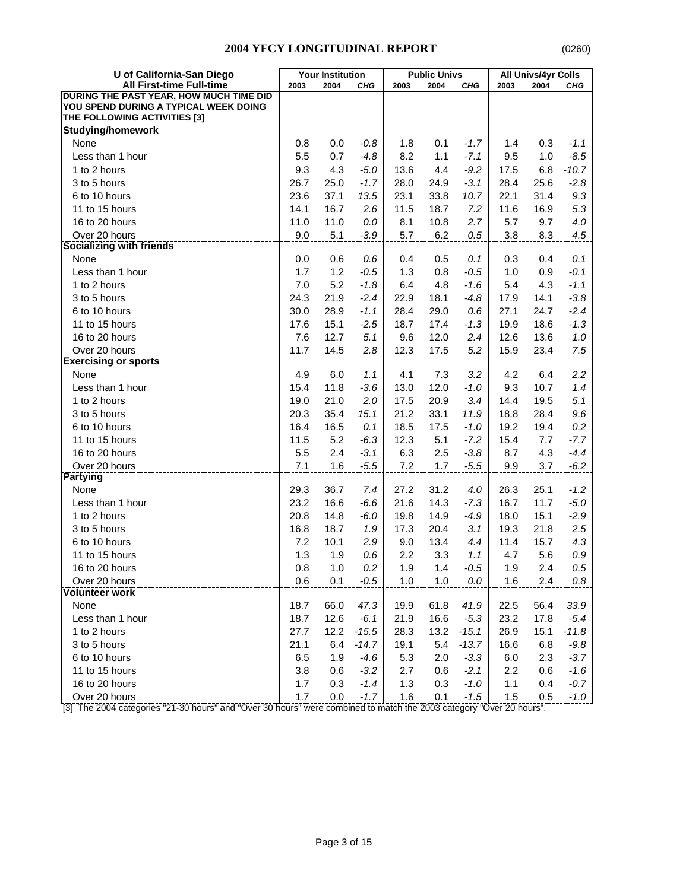| U of California-San Diego               |      | <b>Your Institution</b> |            |         | <b>Public Univs</b> |         |       | All Univs/4yr Colls |         |
|-----------------------------------------|------|-------------------------|------------|---------|---------------------|---------|-------|---------------------|---------|
| <b>All First-time Full-time</b>         | 2003 | 2004                    | <b>CHG</b> | 2003    | 2004                | CHG     | 2003  | 2004                | CHG     |
| DURING THE PAST YEAR, HOW MUCH TIME DID |      |                         |            |         |                     |         |       |                     |         |
| YOU SPEND DURING A TYPICAL WEEK DOING   |      |                         |            |         |                     |         |       |                     |         |
| THE FOLLOWING ACTIVITIES [3]            |      |                         |            |         |                     |         |       |                     |         |
| <b>Studying/homework</b>                |      |                         |            |         |                     |         |       |                     |         |
| None                                    | 0.8  | 0.0                     | $-0.8$     | 1.8     | 0.1                 | $-1.7$  | 1.4   | 0.3                 | $-1.1$  |
| Less than 1 hour                        | 5.5  | 0.7                     | $-4.8$     | 8.2     | 1.1                 | $-7.1$  | 9.5   | 1.0                 | $-8.5$  |
| 1 to 2 hours                            | 9.3  | 4.3                     | $-5.0$     | 13.6    | 4.4                 | $-9.2$  | 17.5  | 6.8                 | $-10.7$ |
| 3 to 5 hours                            | 26.7 | 25.0                    | $-1.7$     | 28.0    | 24.9                | $-3.1$  | 28.4  | 25.6                | $-2.8$  |
| 6 to 10 hours                           | 23.6 | 37.1                    | 13.5       | 23.1    | 33.8                | 10.7    | 22.1  | 31.4                | 9.3     |
| 11 to 15 hours                          | 14.1 | 16.7                    | 2.6        | 11.5    | 18.7                | 7.2     | 11.6  | 16.9                | 5.3     |
| 16 to 20 hours                          | 11.0 | 11.0                    | 0.0        | 8.1     | 10.8                | 2.7     | 5.7   | 9.7                 | 4.0     |
| Over 20 hours                           | 9.0  | 5.1                     | $-3.9$     | 5.7     | 6.2                 | 0.5     | 3.8   | 8.3                 | 4.5     |
| <b>Socializing with friends</b>         |      |                         |            |         |                     |         |       |                     |         |
| None                                    | 0.0  | 0.6                     | 0.6        | 0.4     | 0.5                 | 0.1     | 0.3   | 0.4                 | 0.1     |
| Less than 1 hour                        | 1.7  | 1.2                     | $-0.5$     | 1.3     | 0.8                 | $-0.5$  | 1.0   | 0.9                 | $-0.1$  |
| 1 to 2 hours                            | 7.0  | 5.2                     | $-1.8$     | 6.4     | 4.8                 | $-1.6$  | 5.4   | 4.3                 | $-1.1$  |
| 3 to 5 hours                            | 24.3 | 21.9                    | $-2.4$     | 22.9    | 18.1                | $-4.8$  | 17.9  | 14.1                | $-3.8$  |
| 6 to 10 hours                           | 30.0 | 28.9                    | $-1.1$     | 28.4    | 29.0                | 0.6     | 27.1  | 24.7                | $-2.4$  |
| 11 to 15 hours                          | 17.6 | 15.1                    | $-2.5$     | 18.7    | 17.4                | $-1.3$  | 19.9  | 18.6                | $-1.3$  |
| 16 to 20 hours                          | 7.6  | 12.7                    | 5.1        | 9.6     | 12.0                | 2.4     | 12.6  | 13.6                | 1.0     |
| Over 20 hours                           | 11.7 | 14.5                    | 2.8        | 12.3    | 17.5                | 5.2     | 15.9  | 23.4                | 7.5     |
| <b>Exercising or sports</b>             |      |                         |            |         |                     |         |       |                     |         |
| None                                    | 4.9  | 6.0                     | 1.1        | 4.1     | 7.3                 | 3.2     | 4.2   | 6.4                 | 2.2     |
| Less than 1 hour                        | 15.4 | 11.8                    | $-3.6$     | 13.0    | 12.0                | $-1.0$  | 9.3   | 10.7                | 1.4     |
| 1 to 2 hours                            | 19.0 | 21.0                    | 2.0        | 17.5    | 20.9                | 3.4     | 14.4  | 19.5                | 5.1     |
| 3 to 5 hours                            | 20.3 | 35.4                    | 15.1       | 21.2    | 33.1                | 11.9    | 18.8  | 28.4                | 9.6     |
| 6 to 10 hours                           | 16.4 | 16.5                    | 0.1        | 18.5    | 17.5                | $-1.0$  | 19.2  | 19.4                | 0.2     |
| 11 to 15 hours                          | 11.5 | 5.2                     | $-6.3$     | 12.3    | 5.1                 | $-7.2$  | 15.4  | 7.7                 | $-7.7$  |
| 16 to 20 hours                          | 5.5  | 2.4                     | $-3.1$     | 6.3     | 2.5                 | $-3.8$  | 8.7   | 4.3                 | $-4.4$  |
| Over 20 hours                           | 7.1  | 1.6                     | $-5.5$     | $7.2\,$ | 1.7                 | $-5.5$  | 9.9   | 3.7                 | $-6.2$  |
| <b>Partying</b>                         |      |                         |            |         |                     |         |       |                     |         |
| None                                    | 29.3 | 36.7                    | 7.4        | 27.2    | 31.2                | 4.0     | 26.3  | 25.1                | $-1.2$  |
| Less than 1 hour                        | 23.2 | 16.6                    | $-6.6$     | 21.6    | 14.3                | $-7.3$  | 16.7  | 11.7                | $-5.0$  |
| 1 to 2 hours                            | 20.8 | 14.8                    | $-6.0$     | 19.8    | 14.9                | $-4.9$  | 18.0  | 15.1                | $-2.9$  |
| 3 to 5 hours                            | 16.8 | 18.7                    | 1.9        | 17.3    | 20.4                | 3.1     | 19.3  | 21.8                | 2.5     |
| 6 to 10 hours                           | 7.2  | 10.1                    | 2.9        | 9.0     | 13.4                | 4.4     | 11.4  | 15.7                | 4.3     |
| 11 to 15 hours                          | 1.3  | 1.9                     | 0.6        | 2.2     | 3.3                 | 1.1     | 4.7   | 5.6                 | $0.9\,$ |
| 16 to 20 hours                          | 0.8  | $1.0$                   | 0.2        | 1.9     | $1.4$               | $-0.5$  | 1.9   | 2.4                 | $0.5\,$ |
| Over 20 hours                           | 0.6  | 0.1                     | $-0.5$     | 1.0     | 1.0                 | 0.0     | 1.6   | 2.4                 | 0.8     |
| <b>Volunteer work</b>                   |      |                         |            |         |                     |         |       |                     |         |
| None                                    | 18.7 | 66.0                    | 47.3       | 19.9    | 61.8                | 41.9    | 22.5  | 56.4                | 33.9    |
| Less than 1 hour                        | 18.7 | 12.6                    | $-6.1$     | 21.9    | 16.6                | $-5.3$  | 23.2  | 17.8                | $-5.4$  |
| 1 to 2 hours                            | 27.7 | 12.2                    | $-15.5$    | 28.3    | 13.2                | $-15.1$ | 26.9  | 15.1                | $-11.8$ |
| 3 to 5 hours                            | 21.1 | 6.4                     | $-14.7$    | 19.1    | 5.4                 | $-13.7$ | 16.6  | 6.8                 | $-9.8$  |
| 6 to 10 hours                           | 6.5  | 1.9                     | $-4.6$     | 5.3     | 2.0                 | $-3.3$  | 6.0   | 2.3                 | $-3.7$  |
| 11 to 15 hours                          | 3.8  | 0.6                     | $-3.2$     | 2.7     | 0.6                 | $-2.1$  | 2.2   | 0.6                 | $-1.6$  |
| 16 to 20 hours                          | 1.7  | 0.3                     | $-1.4$     | 1.3     | 0.3                 | $-1.0$  | 1.1   | 0.4                 | $-0.7$  |
| Over 20 hours                           | 1.7  | 0.0                     | $-1.7$     | 1.6     | 0.1                 | $-1.5$  | $1.5$ | 0.5                 | $-1.0$  |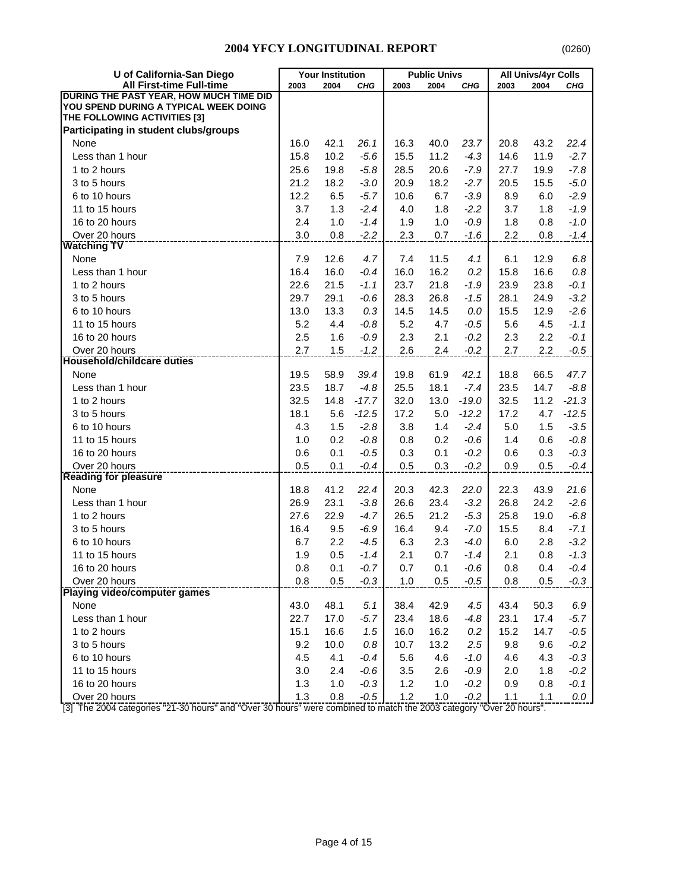| U of California-San Diego               |      | <b>Your Institution</b> |         |      | <b>Public Univs</b> |         |      | <b>All Univs/4yr Colls</b> |         |
|-----------------------------------------|------|-------------------------|---------|------|---------------------|---------|------|----------------------------|---------|
| All First-time Full-time                | 2003 | 2004                    | CHG     | 2003 | 2004                | CHG     | 2003 | 2004                       | CHG     |
| DURING THE PAST YEAR, HOW MUCH TIME DID |      |                         |         |      |                     |         |      |                            |         |
| YOU SPEND DURING A TYPICAL WEEK DOING   |      |                         |         |      |                     |         |      |                            |         |
| THE FOLLOWING ACTIVITIES [3]            |      |                         |         |      |                     |         |      |                            |         |
| Participating in student clubs/groups   |      |                         |         |      |                     |         |      |                            |         |
| None                                    | 16.0 | 42.1                    | 26.1    | 16.3 | 40.0                | 23.7    | 20.8 | 43.2                       | 22.4    |
| Less than 1 hour                        | 15.8 | 10.2                    | $-5.6$  | 15.5 | 11.2                | $-4.3$  | 14.6 | 11.9                       | $-2.7$  |
| 1 to 2 hours                            | 25.6 | 19.8                    | $-5.8$  | 28.5 | 20.6                | $-7.9$  | 27.7 | 19.9                       | $-7.8$  |
| 3 to 5 hours                            | 21.2 | 18.2                    | $-3.0$  | 20.9 | 18.2                | $-2.7$  | 20.5 | 15.5                       | $-5.0$  |
| 6 to 10 hours                           | 12.2 | 6.5                     | $-5.7$  | 10.6 | 6.7                 | $-3.9$  | 8.9  | 6.0                        | $-2.9$  |
| 11 to 15 hours                          | 3.7  | 1.3                     | $-2.4$  | 4.0  | 1.8                 | $-2.2$  | 3.7  | 1.8                        | $-1.9$  |
| 16 to 20 hours                          | 2.4  | 1.0                     | $-1.4$  | 1.9  | 1.0                 | $-0.9$  | 1.8  | 0.8                        | $-1.0$  |
| Over 20 hours                           | 3.0  | 0.8                     | $-2.2$  | 2.3  | 0.7                 | $-1.6$  | 2.2  | 0.8                        | $-1.4$  |
| <b>Watching TV</b>                      |      |                         |         |      |                     |         |      |                            |         |
| None                                    | 7.9  | 12.6                    | 4.7     | 7.4  | 11.5                | 4.1     | 6.1  | 12.9                       | 6.8     |
| Less than 1 hour                        | 16.4 | 16.0                    | $-0.4$  | 16.0 | 16.2                | 0.2     | 15.8 | 16.6                       | 0.8     |
| 1 to 2 hours                            | 22.6 | 21.5                    | $-1.1$  | 23.7 | 21.8                | $-1.9$  | 23.9 | 23.8                       | $-0.1$  |
| 3 to 5 hours                            | 29.7 | 29.1                    | $-0.6$  | 28.3 | 26.8                | $-1.5$  | 28.1 | 24.9                       | $-3.2$  |
| 6 to 10 hours                           | 13.0 | 13.3                    | 0.3     | 14.5 | 14.5                | 0.0     | 15.5 | 12.9                       | $-2.6$  |
| 11 to 15 hours                          | 5.2  | 4.4                     | $-0.8$  | 5.2  | 4.7                 | $-0.5$  | 5.6  | 4.5                        | $-1.1$  |
| 16 to 20 hours                          | 2.5  | 1.6                     | $-0.9$  | 2.3  | 2.1                 | $-0.2$  | 2.3  | 2.2                        | $-0.1$  |
| Over 20 hours                           | 2.7  | 1.5                     | $-1.2$  | 2.6  | 2.4                 | $-0.2$  | 2.7  | 2.2                        | $-0.5$  |
| <b>Household/childcare duties</b>       |      |                         |         |      |                     |         |      |                            |         |
| None                                    | 19.5 | 58.9                    | 39.4    | 19.8 | 61.9                | 42.1    | 18.8 | 66.5                       | 47.7    |
| Less than 1 hour                        | 23.5 | 18.7                    | $-4.8$  | 25.5 | 18.1                | $-7.4$  | 23.5 | 14.7                       | $-8.8$  |
| 1 to 2 hours                            | 32.5 | 14.8                    | $-17.7$ | 32.0 | 13.0                | $-19.0$ | 32.5 | 11.2                       | $-21.3$ |
| 3 to 5 hours                            | 18.1 | 5.6                     | $-12.5$ | 17.2 | 5.0                 | $-12.2$ | 17.2 | 4.7                        | $-12.5$ |
| 6 to 10 hours                           | 4.3  | 1.5                     | $-2.8$  | 3.8  | 1.4                 | $-2.4$  | 5.0  | 1.5                        | $-3.5$  |
| 11 to 15 hours                          | 1.0  | 0.2                     | $-0.8$  | 0.8  | 0.2                 | $-0.6$  | 1.4  | 0.6                        | $-0.8$  |
| 16 to 20 hours                          | 0.6  | 0.1                     | $-0.5$  | 0.3  | 0.1                 | $-0.2$  | 0.6  | 0.3                        | $-0.3$  |
| Over 20 hours                           | 0.5  | 0.1                     | $-0.4$  | 0.5  | 0.3                 | $-0.2$  | 0.9  | 0.5                        | $-0.4$  |
| <b>Reading for pleasure</b>             |      |                         |         |      |                     |         |      |                            |         |
| None                                    | 18.8 | 41.2                    | 22.4    | 20.3 | 42.3                | 22.0    | 22.3 | 43.9                       | 21.6    |
| Less than 1 hour                        | 26.9 | 23.1                    | $-3.8$  | 26.6 | 23.4                | $-3.2$  | 26.8 | 24.2                       | $-2.6$  |
| 1 to 2 hours                            | 27.6 | 22.9                    | $-4.7$  | 26.5 | 21.2                | $-5.3$  | 25.8 | 19.0                       | $-6.8$  |
| 3 to 5 hours                            | 16.4 | 9.5                     | $-6.9$  | 16.4 | 9.4                 | $-7.0$  | 15.5 | 8.4                        | $-7.1$  |
| 6 to 10 hours                           | 6.7  | 2.2                     | $-4.5$  | 6.3  | 2.3                 | $-4.0$  | 6.0  | 2.8                        | $-3.2$  |
| 11 to 15 hours                          | 1.9  | 0.5                     | $-1.4$  | 2.1  | 0.7                 | $-1.4$  | 2.1  | 0.8                        | $-1.3$  |
| 16 to 20 hours                          | 0.8  | 0.1                     | $-0.7$  | 0.7  | 0.1                 | $-0.6$  | 0.8  | 0.4                        | $-0.4$  |
| Over 20 hours                           | 0.8  | 0.5                     | $-0.3$  | 1.0  | 0.5                 | $-0.5$  | 0.8  | 0.5                        | $-0.3$  |
| Playing video/computer games            |      |                         |         |      |                     |         |      |                            |         |
| None                                    | 43.0 | 48.1                    | 5.1     | 38.4 | 42.9                | 4.5     | 43.4 | 50.3                       | 6.9     |
| Less than 1 hour                        | 22.7 | 17.0                    | $-5.7$  | 23.4 | 18.6                | $-4.8$  | 23.1 | 17.4                       | $-5.7$  |
| 1 to 2 hours                            | 15.1 | 16.6                    | 1.5     | 16.0 | 16.2                | $0.2\,$ | 15.2 | 14.7                       | $-0.5$  |
| 3 to 5 hours                            | 9.2  | 10.0                    | 0.8     | 10.7 | 13.2                | 2.5     | 9.8  | 9.6                        | $-0.2$  |
| 6 to 10 hours                           | 4.5  | 4.1                     | $-0.4$  | 5.6  | 4.6                 | $-1.0$  | 4.6  | 4.3                        | $-0.3$  |
| 11 to 15 hours                          | 3.0  | 2.4                     | $-0.6$  | 3.5  | 2.6                 | $-0.9$  | 2.0  | 1.8                        | $-0.2$  |
| 16 to 20 hours                          | 1.3  | 1.0                     | $-0.3$  | 1.2  | 1.0                 | $-0.2$  | 0.9  | 0.8                        | $-0.1$  |
| Over 20 hours                           | 1.3  | 0.8                     | $-0.5$  | 1.2  | 1.0                 |         | 1.1  |                            | 0.0     |
|                                         |      |                         |         |      |                     | $-0.2$  |      | 1.1                        |         |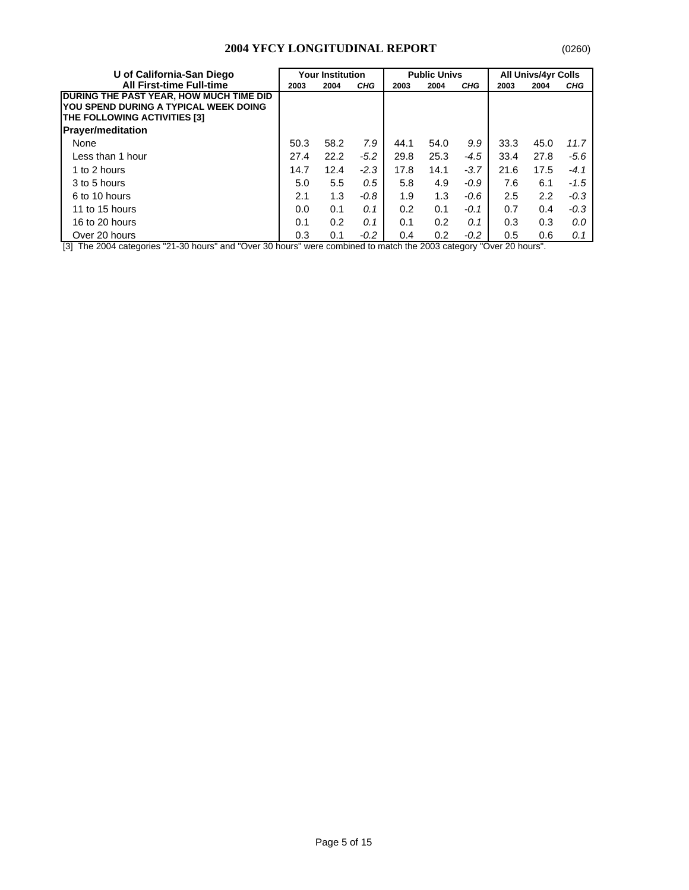| U of California-San Diego                                                                                                | <b>Your Institution</b> |      |            |      | <b>Public Univs</b> |            | <b>All Univs/4yr Colls</b> |      |            |
|--------------------------------------------------------------------------------------------------------------------------|-------------------------|------|------------|------|---------------------|------------|----------------------------|------|------------|
| <b>All First-time Full-time</b>                                                                                          | 2003                    | 2004 | <b>CHG</b> | 2003 | 2004                | <b>CHG</b> | 2003                       | 2004 | <b>CHG</b> |
| <b>IDURING THE PAST YEAR. HOW MUCH TIME DID</b><br>YOU SPEND DURING A TYPICAL WEEK DOING<br>THE FOLLOWING ACTIVITIES [3] |                         |      |            |      |                     |            |                            |      |            |
| <b>Prayer/meditation</b>                                                                                                 |                         |      |            |      |                     |            |                            |      |            |
| None                                                                                                                     | 50.3                    | 58.2 | 7.9        | 44.1 | 54.0                | 9.9        | 33.3                       | 45.0 | 11.7       |
| Less than 1 hour                                                                                                         | 27.4                    | 22.2 | $-5.2$     | 29.8 | 25.3                | $-4.5$     | 33.4                       | 27.8 | $-5.6$     |
| 1 to 2 hours                                                                                                             | 14.7                    | 12.4 | $-2.3$     | 17.8 | 14.1                | $-3.7$     | 21.6                       | 17.5 | $-4.1$     |
| 3 to 5 hours                                                                                                             | 5.0                     | 5.5  | 0.5        | 5.8  | 4.9                 | $-0.9$     | 7.6                        | 6.1  | $-1.5$     |
| 6 to 10 hours                                                                                                            | 2.1                     | 1.3  | $-0.8$     | 1.9  | 1.3                 | -0.6       | 2.5                        | 2.2  | $-0.3$     |
| 11 to 15 hours                                                                                                           | 0.0                     | 0.1  | 0.1        | 0.2  | 0.1                 | $-0.1$     | 0.7                        | 0.4  | $-0.3$     |
| 16 to 20 hours                                                                                                           | 0.1                     | 0.2  | 0.1        | 0.1  | 0.2                 | 0.1        | 0.3                        | 0.3  | 0.0        |
| Over 20 hours                                                                                                            | 0.3                     | 0.1  | $-0.2$     | 0.4  | 0.2                 | $-0.2$     | 0.5                        | 0.6  | 0.1        |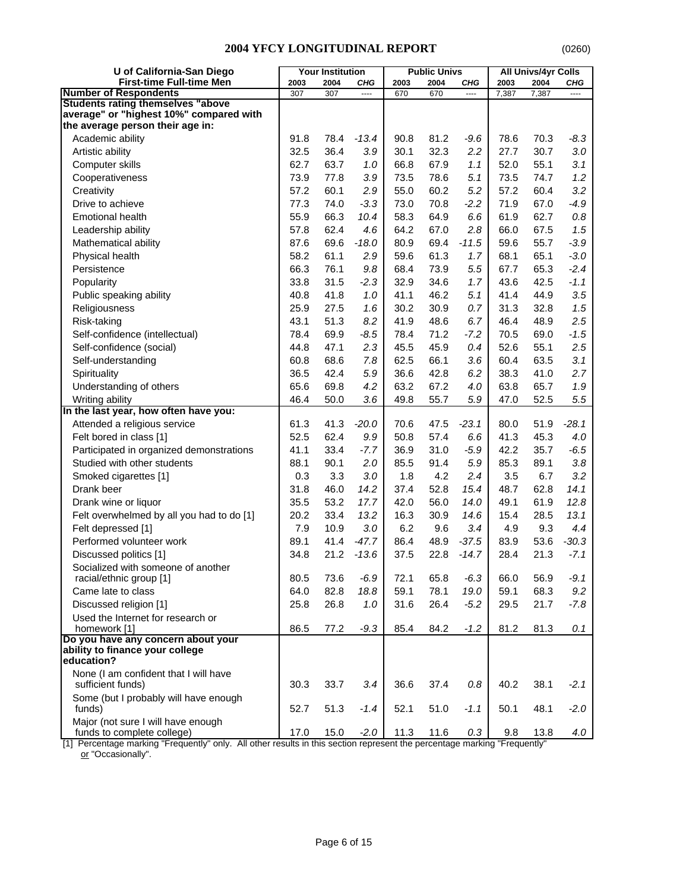| U of California-San Diego                                  |      | <b>Your Institution</b> |         |      | <b>Public Univs</b> |         |       | <b>All Univs/4yr Colls</b> |            |
|------------------------------------------------------------|------|-------------------------|---------|------|---------------------|---------|-------|----------------------------|------------|
| <b>First-time Full-time Men</b>                            | 2003 | 2004                    | CHG     | 2003 | 2004                | CHG     | 2003  | 2004                       | <b>CHG</b> |
| <b>Number of Respondents</b>                               | 307  | 307                     | $---$   | 670  | 670                 | $---$   | 7,387 | 7,387                      | $---$      |
| <b>Students rating themselves "above</b>                   |      |                         |         |      |                     |         |       |                            |            |
| average" or "highest 10%" compared with                    |      |                         |         |      |                     |         |       |                            |            |
| the average person their age in:                           |      |                         |         |      |                     |         |       |                            |            |
| Academic ability                                           | 91.8 | 78.4                    | $-13.4$ | 90.8 | 81.2                | $-9.6$  | 78.6  | 70.3                       | $-8.3$     |
| Artistic ability                                           | 32.5 | 36.4                    | 3.9     | 30.1 | 32.3                | 2.2     | 27.7  | 30.7                       | 3.0        |
| Computer skills                                            | 62.7 | 63.7                    | 1.0     | 66.8 | 67.9                | 1.1     | 52.0  | 55.1                       | 3.1        |
| Cooperativeness                                            | 73.9 | 77.8                    | 3.9     | 73.5 | 78.6                | 5.1     | 73.5  | 74.7                       | 1.2        |
| Creativity                                                 | 57.2 | 60.1                    | 2.9     | 55.0 | 60.2                | 5.2     | 57.2  | 60.4                       | 3.2        |
| Drive to achieve                                           | 77.3 | 74.0                    | $-3.3$  | 73.0 | 70.8                | $-2.2$  | 71.9  | 67.0                       | $-4.9$     |
| <b>Emotional health</b>                                    | 55.9 | 66.3                    | 10.4    | 58.3 | 64.9                | 6.6     | 61.9  | 62.7                       | 0.8        |
| Leadership ability                                         | 57.8 | 62.4                    | 4.6     | 64.2 | 67.0                | 2.8     | 66.0  | 67.5                       | 1.5        |
| Mathematical ability                                       | 87.6 | 69.6                    | $-18.0$ | 80.9 | 69.4                | $-11.5$ | 59.6  | 55.7                       | $-3.9$     |
| Physical health                                            | 58.2 | 61.1                    | 2.9     | 59.6 | 61.3                | 1.7     | 68.1  | 65.1                       | $-3.0$     |
| Persistence                                                | 66.3 | 76.1                    | 9.8     | 68.4 | 73.9                | 5.5     | 67.7  | 65.3                       | $-2.4$     |
| Popularity                                                 | 33.8 | 31.5                    | $-2.3$  | 32.9 | 34.6                | 1.7     | 43.6  | 42.5                       | $-1.1$     |
| Public speaking ability                                    | 40.8 | 41.8                    | 1.0     | 41.1 | 46.2                | 5.1     | 41.4  | 44.9                       | 3.5        |
| Religiousness                                              | 25.9 | 27.5                    | 1.6     | 30.2 | 30.9                | 0.7     | 31.3  | 32.8                       | 1.5        |
| Risk-taking                                                | 43.1 | 51.3                    | 8.2     | 41.9 | 48.6                | 6.7     | 46.4  | 48.9                       | 2.5        |
| Self-confidence (intellectual)                             | 78.4 | 69.9                    | $-8.5$  | 78.4 | 71.2                | $-7.2$  | 70.5  | 69.0                       | $-1.5$     |
| Self-confidence (social)                                   | 44.8 | 47.1                    | 2.3     | 45.5 | 45.9                | 0.4     | 52.6  | 55.1                       | 2.5        |
| Self-understanding                                         | 60.8 | 68.6                    | 7.8     | 62.5 | 66.1                | 3.6     | 60.4  | 63.5                       | 3.1        |
| Spirituality                                               | 36.5 | 42.4                    | 5.9     | 36.6 | 42.8                | 6.2     | 38.3  | 41.0                       | 2.7        |
| Understanding of others                                    | 65.6 | 69.8                    | 4.2     | 63.2 | 67.2                | 4.0     | 63.8  | 65.7                       | 1.9        |
| Writing ability                                            | 46.4 | 50.0                    | 3.6     | 49.8 | 55.7                | 5.9     | 47.0  | 52.5                       | 5.5        |
| In the last year, how often have you:                      |      |                         |         |      |                     |         |       |                            |            |
| Attended a religious service                               | 61.3 | 41.3                    | $-20.0$ | 70.6 | 47.5                | $-23.1$ | 80.0  | 51.9                       | $-28.1$    |
| Felt bored in class [1]                                    | 52.5 | 62.4                    | 9.9     | 50.8 | 57.4                | 6.6     | 41.3  | 45.3                       | 4.0        |
| Participated in organized demonstrations                   | 41.1 | 33.4                    | $-7.7$  | 36.9 | 31.0                | $-5.9$  | 42.2  | 35.7                       | $-6.5$     |
| Studied with other students                                | 88.1 | 90.1                    | 2.0     | 85.5 | 91.4                | 5.9     | 85.3  | 89.1                       | 3.8        |
| Smoked cigarettes [1]                                      | 0.3  | 3.3                     | 3.0     | 1.8  | 4.2                 | 2.4     | 3.5   | 6.7                        | 3.2        |
| Drank beer                                                 | 31.8 | 46.0                    | 14.2    | 37.4 | 52.8                | 15.4    | 48.7  | 62.8                       | 14.1       |
| Drank wine or liquor                                       | 35.5 | 53.2                    | 17.7    | 42.0 | 56.0                | 14.0    | 49.1  | 61.9                       | 12.8       |
| Felt overwhelmed by all you had to do [1]                  | 20.2 | 33.4                    | 13.2    | 16.3 | 30.9                | 14.6    | 15.4  | 28.5                       | 13.1       |
| Felt depressed [1]                                         | 7.9  | 10.9                    | 3.0     | 6.2  | 9.6                 | 3.4     | 4.9   | 9.3                        | 4.4        |
| Performed volunteer work                                   | 89.1 | 41.4                    | $-47.7$ | 86.4 | 48.9                | $-37.5$ | 83.9  | 53.6                       | $-30.3$    |
| Discussed politics [1]                                     | 34.8 | 21.2                    | $-13.6$ | 37.5 | 22.8                | $-14.7$ | 28.4  | 21.3                       | $-7.1$     |
| Socialized with someone of another                         |      |                         |         |      |                     |         |       |                            |            |
| racial/ethnic group [1]                                    | 80.5 | 73.6                    | $-6.9$  | 72.1 | 65.8                | $-6.3$  | 66.0  | 56.9                       | $-9.1$     |
| Came late to class                                         | 64.0 | 82.8                    | 18.8    | 59.1 | 78.1                | 19.0    | 59.1  | 68.3                       | 9.2        |
| Discussed religion [1]                                     | 25.8 | 26.8                    | 1.0     | 31.6 | 26.4                | $-5.2$  | 29.5  | 21.7                       | $-7.8$     |
| Used the Internet for research or                          |      |                         |         |      |                     |         |       |                            |            |
| homework [1]                                               | 86.5 | 77.2                    | $-9.3$  | 85.4 | 84.2                | $-1.2$  | 81.2  | 81.3                       | 0.1        |
| Do you have any concern about your                         |      |                         |         |      |                     |         |       |                            |            |
| ability to finance your college                            |      |                         |         |      |                     |         |       |                            |            |
| education?                                                 |      |                         |         |      |                     |         |       |                            |            |
| None (I am confident that I will have<br>sufficient funds) | 30.3 | 33.7                    | 3.4     | 36.6 | 37.4                | $0.8\,$ | 40.2  | 38.1                       | $-2.1$     |
| Some (but I probably will have enough                      |      |                         |         |      |                     |         |       |                            |            |
| funds)<br>Major (not sure I will have enough               | 52.7 | 51.3                    | $-1.4$  | 52.1 | 51.0                | $-1.1$  | 50.1  | 48.1                       | $-2.0$     |
| funds to complete college)                                 | 17.0 | 15.0                    | $-2.0$  | 11.3 | 11.6                | $0.3\,$ | 9.8   | 13.8                       | 4.0        |

[1] Percentage marking "Frequently" only. All other results in this section represent the percentage marking "Frequently" <u>or</u> "Occasionally".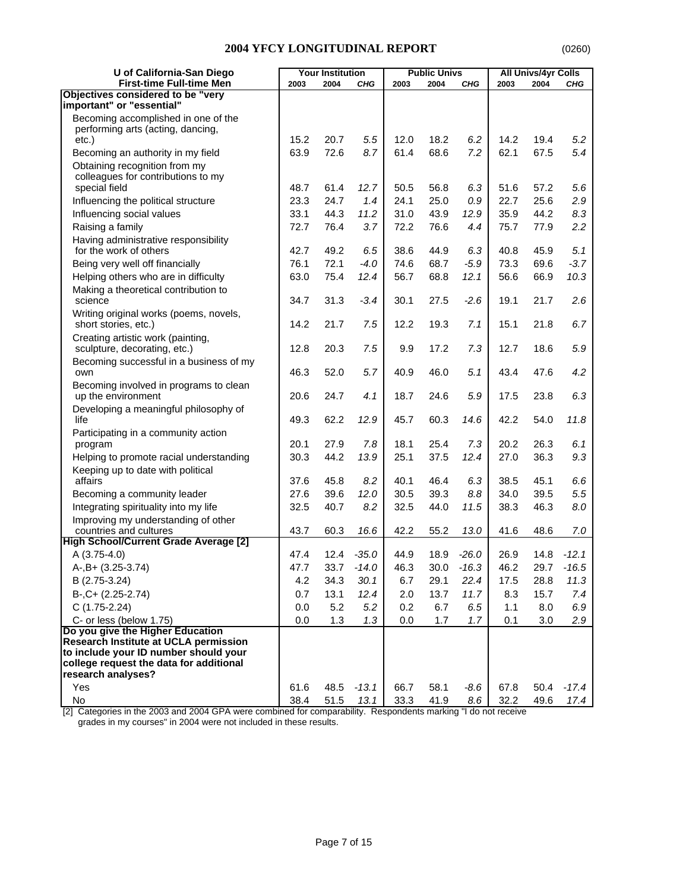| U of California-San Diego                                                |      | <b>Your Institution</b> |            |      | <b>Public Univs</b> |               |      | <b>All Univs/4yr Colls</b> |            |
|--------------------------------------------------------------------------|------|-------------------------|------------|------|---------------------|---------------|------|----------------------------|------------|
| <b>First-time Full-time Men</b>                                          | 2003 | 2004                    | <b>CHG</b> | 2003 | 2004                | CHG           | 2003 | 2004                       | CHG        |
| Objectives considered to be "very                                        |      |                         |            |      |                     |               |      |                            |            |
| important" or "essential"                                                |      |                         |            |      |                     |               |      |                            |            |
| Becoming accomplished in one of the<br>performing arts (acting, dancing, |      |                         |            |      |                     |               |      |                            |            |
| $etc.$ )                                                                 | 15.2 | 20.7                    | 5.5        | 12.0 | 18.2                | 6.2           | 14.2 | 19.4                       | 5.2        |
| Becoming an authority in my field                                        | 63.9 | 72.6                    | 8.7        | 61.4 | 68.6                | 7.2           | 62.1 | 67.5                       | 5.4        |
| Obtaining recognition from my                                            |      |                         |            |      |                     |               |      |                            |            |
| colleagues for contributions to my                                       |      |                         |            |      |                     |               |      |                            |            |
| special field                                                            | 48.7 | 61.4                    | 12.7       | 50.5 | 56.8                | 6.3           | 51.6 | 57.2                       | 5.6        |
| Influencing the political structure                                      | 23.3 | 24.7                    | 1.4        | 24.1 | 25.0                | 0.9           | 22.7 | 25.6                       | 2.9        |
| Influencing social values                                                | 33.1 | 44.3                    | 11.2       | 31.0 | 43.9                | 12.9          | 35.9 | 44.2                       | 8.3        |
| Raising a family                                                         | 72.7 | 76.4                    | 3.7        | 72.2 | 76.6                | 4.4           | 75.7 | 77.9                       | 2.2        |
| Having administrative responsibility<br>for the work of others           | 42.7 | 49.2                    | 6.5        | 38.6 | 44.9                | 6.3           | 40.8 | 45.9                       | 5.1        |
| Being very well off financially                                          | 76.1 | 72.1                    | $-4.0$     | 74.6 | 68.7                | $-5.9$        | 73.3 | 69.6                       | $-3.7$     |
| Helping others who are in difficulty                                     | 63.0 | 75.4                    | 12.4       | 56.7 | 68.8                | 12.1          | 56.6 | 66.9                       | 10.3       |
| Making a theoretical contribution to                                     |      |                         |            |      |                     |               |      |                            |            |
| science                                                                  | 34.7 | 31.3                    | $-3.4$     | 30.1 | 27.5                | $-2.6$        | 19.1 | 21.7                       | 2.6        |
| Writing original works (poems, novels,                                   |      |                         |            |      |                     |               |      |                            |            |
| short stories, etc.)                                                     | 14.2 | 21.7                    | 7.5        | 12.2 | 19.3                | 7.1           | 15.1 | 21.8                       | 6.7        |
| Creating artistic work (painting,                                        |      |                         |            |      |                     |               |      |                            |            |
| sculpture, decorating, etc.)                                             | 12.8 | 20.3                    | 7.5        | 9.9  | 17.2                | 7.3           | 12.7 | 18.6                       | 5.9        |
| Becoming successful in a business of my                                  |      |                         |            |      |                     |               |      |                            |            |
| own                                                                      | 46.3 | 52.0                    | 5.7        | 40.9 | 46.0                | 5.1           | 43.4 | 47.6                       | 4.2        |
| Becoming involved in programs to clean                                   |      |                         |            |      |                     |               |      |                            |            |
| up the environment                                                       | 20.6 | 24.7                    | 4.1        | 18.7 | 24.6                | 5.9           | 17.5 | 23.8                       | 6.3        |
| Developing a meaningful philosophy of<br>life                            | 49.3 | 62.2                    | 12.9       | 45.7 | 60.3                | 14.6          | 42.2 | 54.0                       | 11.8       |
| Participating in a community action                                      |      |                         |            |      |                     |               |      |                            |            |
| program                                                                  | 20.1 | 27.9                    | 7.8        | 18.1 | 25.4                | 7.3           | 20.2 | 26.3                       | 6.1        |
| Helping to promote racial understanding                                  | 30.3 | 44.2                    | 13.9       | 25.1 | 37.5                | 12.4          | 27.0 | 36.3                       | 9.3        |
| Keeping up to date with political                                        |      |                         |            |      |                     |               |      |                            |            |
| affairs                                                                  | 37.6 | 45.8                    | 8.2        | 40.1 | 46.4                | 6.3           | 38.5 | 45.1                       | 6.6        |
| Becoming a community leader                                              | 27.6 | 39.6                    | 12.0       | 30.5 | 39.3                | 8.8           | 34.0 | 39.5                       | 5.5        |
| Integrating spirituality into my life                                    | 32.5 | 40.7                    | 8.2        | 32.5 | 44.0                | 11.5          | 38.3 | 46.3                       | 8.0        |
| Improving my understanding of other                                      |      |                         |            |      |                     |               |      |                            |            |
| countries and cultures                                                   | 43.7 | 60.3                    | 16.6       | 42.2 | 55.2                | 13.0          | 41.6 | 48.6                       | 7.0        |
| <b>High School/Current Grade Average [2]</b>                             |      |                         |            |      |                     |               |      |                            |            |
| A (3.75-4.0)                                                             | 47.4 | 12.4                    | $-35.0$    | 44.9 | 18.9                | $-26.0$       | 26.9 | 14.8                       | $-12.1$    |
| $A-, B+ (3.25-3.74)$                                                     | 47.7 | 33.7                    | $-14.0$    | 46.3 |                     | $30.0 - 16.3$ | 46.2 |                            | 29.7 -16.5 |
| B (2.75-3.24)                                                            | 4.2  | 34.3                    | 30.1       | 6.7  | 29.1                | 22.4          | 17.5 | 28.8                       | 11.3       |
| $B-, C+ (2.25-2.74)$                                                     | 0.7  | 13.1                    | 12.4       | 2.0  | 13.7                | 11.7          | 8.3  | 15.7                       | 7.4        |
| $C(1.75-2.24)$                                                           | 0.0  | 5.2                     | 5.2        | 0.2  | 6.7                 | 6.5           | 1.1  | 8.0                        | 6.9        |
| C- or less (below 1.75)<br>Do you give the Higher Education              | 0.0  | 1.3                     | 1.3        | 0.0  | 1.7                 | 1.7           | 0.1  | 3.0                        | 2.9        |
| <b>Research Institute at UCLA permission</b>                             |      |                         |            |      |                     |               |      |                            |            |
| to include your ID number should your                                    |      |                         |            |      |                     |               |      |                            |            |
| college request the data for additional                                  |      |                         |            |      |                     |               |      |                            |            |
| research analyses?                                                       |      |                         |            |      |                     |               |      |                            |            |
| Yes                                                                      | 61.6 | 48.5                    | $-13.1$    | 66.7 | 58.1                | $-8.6$        | 67.8 | 50.4                       | $-17.4$    |
| No                                                                       | 38.4 | 51.5                    | 13.1       | 33.3 | 41.9                | 8.6           | 32.2 | 49.6                       | 17.4       |

[2] Categories in the 2003 and 2004 GPA were combined for comparability. Respondents marking "I do not receive grades in my courses" in 2004 were not included in these results.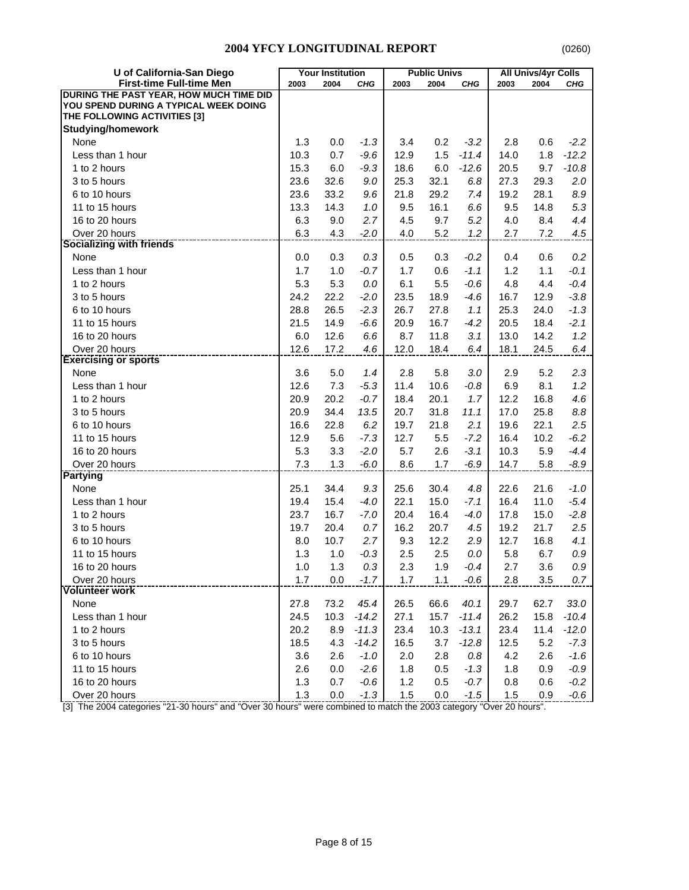| U of California-San Diego               |      | <b>Your Institution</b> |            |      | <b>Public Univs</b> |         |      | <b>All Univs/4yr Colls</b> |         |
|-----------------------------------------|------|-------------------------|------------|------|---------------------|---------|------|----------------------------|---------|
| <b>First-time Full-time Men</b>         | 2003 | 2004                    | <b>CHG</b> | 2003 | 2004                | CHG     | 2003 | 2004                       | CHG     |
| DURING THE PAST YEAR, HOW MUCH TIME DID |      |                         |            |      |                     |         |      |                            |         |
| YOU SPEND DURING A TYPICAL WEEK DOING   |      |                         |            |      |                     |         |      |                            |         |
| THE FOLLOWING ACTIVITIES [3]            |      |                         |            |      |                     |         |      |                            |         |
| <b>Studying/homework</b>                |      |                         |            |      |                     |         |      |                            |         |
| None                                    | 1.3  | 0.0                     | $-1.3$     | 3.4  | 0.2                 | $-3.2$  | 2.8  | 0.6                        | $-2.2$  |
| Less than 1 hour                        | 10.3 | 0.7                     | $-9.6$     | 12.9 | 1.5                 | $-11.4$ | 14.0 | 1.8                        | $-12.2$ |
| 1 to 2 hours                            | 15.3 | 6.0                     | $-9.3$     | 18.6 | 6.0                 | $-12.6$ | 20.5 | 9.7                        | $-10.8$ |
| 3 to 5 hours                            | 23.6 | 32.6                    | 9.0        | 25.3 | 32.1                | 6.8     | 27.3 | 29.3                       | 2.0     |
| 6 to 10 hours                           | 23.6 | 33.2                    | 9.6        | 21.8 | 29.2                | 7.4     | 19.2 | 28.1                       | 8.9     |
| 11 to 15 hours                          | 13.3 | 14.3                    | 1.0        | 9.5  | 16.1                | 6.6     | 9.5  | 14.8                       | 5.3     |
| 16 to 20 hours                          | 6.3  | 9.0                     | 2.7        | 4.5  | 9.7                 | 5.2     | 4.0  | 8.4                        | 4.4     |
| Over 20 hours                           | 6.3  | 4.3                     | $-2.0$     | 4.0  | 5.2                 | 1.2     | 2.7  | 7.2                        | 4.5     |
| <b>Socializing with friends</b>         |      |                         |            |      |                     |         |      |                            |         |
| None                                    | 0.0  | 0.3                     | 0.3        | 0.5  | 0.3                 | $-0.2$  | 0.4  | 0.6                        | 0.2     |
| Less than 1 hour                        | 1.7  | 1.0                     | $-0.7$     | 1.7  | 0.6                 | $-1.1$  | 1.2  | 1.1                        | $-0.1$  |
| 1 to 2 hours                            | 5.3  | 5.3                     | 0.0        | 6.1  | 5.5                 | $-0.6$  | 4.8  | 4.4                        | $-0.4$  |
| 3 to 5 hours                            | 24.2 | 22.2                    | $-2.0$     | 23.5 | 18.9                | $-4.6$  | 16.7 | 12.9                       | $-3.8$  |
| 6 to 10 hours                           | 28.8 | 26.5                    | $-2.3$     | 26.7 | 27.8                | 1.1     | 25.3 | 24.0                       | $-1.3$  |
| 11 to 15 hours                          | 21.5 | 14.9                    | $-6.6$     | 20.9 | 16.7                | $-4.2$  | 20.5 | 18.4                       | $-2.1$  |
| 16 to 20 hours                          | 6.0  | 12.6                    | 6.6        | 8.7  | 11.8                | 3.1     | 13.0 | 14.2                       | 1.2     |
| Over 20 hours                           | 12.6 | 17.2                    | 4.6        | 12.0 | 18.4                | 6.4     | 18.1 | 24.5                       | 6.4     |
| <b>Exercising or sports</b>             |      |                         |            |      |                     |         |      |                            |         |
| None                                    | 3.6  | 5.0                     | 1.4        | 2.8  | 5.8                 | 3.0     | 2.9  | 5.2                        | 2.3     |
| Less than 1 hour                        | 12.6 | 7.3                     | $-5.3$     | 11.4 | 10.6                | $-0.8$  | 6.9  | 8.1                        | 1.2     |
| 1 to 2 hours                            | 20.9 | 20.2                    | $-0.7$     | 18.4 | 20.1                | 1.7     | 12.2 | 16.8                       | 4.6     |
| 3 to 5 hours                            | 20.9 | 34.4                    | 13.5       | 20.7 | 31.8                | 11.1    | 17.0 | 25.8                       | 8.8     |
| 6 to 10 hours                           | 16.6 | 22.8                    | 6.2        | 19.7 | 21.8                | 2.1     | 19.6 | 22.1                       | 2.5     |
| 11 to 15 hours                          | 12.9 | 5.6                     | $-7.3$     | 12.7 | 5.5                 | $-7.2$  | 16.4 | 10.2                       | $-6.2$  |
| 16 to 20 hours                          | 5.3  | 3.3                     | $-2.0$     | 5.7  | 2.6                 | $-3.1$  | 10.3 | 5.9                        | $-4.4$  |
| Over 20 hours                           | 7.3  | 1.3                     | $-6.0$     | 8.6  | 1.7                 | $-6.9$  | 14.7 | 5.8                        | $-8.9$  |
| Partying                                |      |                         |            |      |                     |         |      |                            |         |
| None                                    | 25.1 | 34.4                    | 9.3        | 25.6 | 30.4                | 4.8     | 22.6 | 21.6                       | $-1.0$  |
| Less than 1 hour                        | 19.4 | 15.4                    | $-4.0$     | 22.1 | 15.0                | $-7.1$  | 16.4 | 11.0                       | $-5.4$  |
| 1 to 2 hours                            | 23.7 | 16.7                    | $-7.0$     | 20.4 | 16.4                | $-4.0$  | 17.8 | 15.0                       | $-2.8$  |
| 3 to 5 hours                            | 19.7 | 20.4                    | 0.7        | 16.2 | 20.7                | 4.5     | 19.2 | 21.7                       | 2.5     |
| 6 to 10 hours                           | 8.0  | 10.7                    | 2.7        | 9.3  | 12.2                | 2.9     | 12.7 | 16.8                       | 4.1     |
| 11 to 15 hours                          | 1.3  | 1.0                     | $-0.3$     | 2.5  | 2.5                 | 0.0     | 5.8  | 6.7                        | $0.9\,$ |
| 16 to 20 hours                          | 1.0  | 1.3                     | 0.3        | 2.3  | 1.9                 | $-0.4$  | 2.7  | 3.6                        | 0.9     |
| Over 20 hours                           | 1.7  | 0.0                     | $-1.7$     | 1.7  | 1.1                 | $-0.6$  | 2.8  | 3.5                        | 0.7     |
| <b>Volunteer work</b>                   |      |                         |            |      |                     |         |      |                            |         |
| None                                    | 27.8 | 73.2                    | 45.4       | 26.5 | 66.6                | 40.1    | 29.7 | 62.7                       | 33.0    |
| Less than 1 hour                        | 24.5 | 10.3                    | $-14.2$    | 27.1 | 15.7                | $-11.4$ | 26.2 | 15.8                       | $-10.4$ |
| 1 to 2 hours                            | 20.2 | 8.9                     | $-11.3$    | 23.4 | 10.3                | $-13.1$ | 23.4 | 11.4                       | $-12.0$ |
| 3 to 5 hours                            | 18.5 | 4.3                     | $-14.2$    | 16.5 | 3.7                 | $-12.8$ | 12.5 | 5.2                        | $-7.3$  |
| 6 to 10 hours                           | 3.6  | 2.6                     | $-1.0$     | 2.0  | 2.8                 | 0.8     | 4.2  | 2.6                        | $-1.6$  |
| 11 to 15 hours                          | 2.6  | 0.0                     | $-2.6$     | 1.8  | 0.5                 | $-1.3$  | 1.8  | 0.9                        | $-0.9$  |
| 16 to 20 hours                          | 1.3  | 0.7                     | $-0.6$     | 1.2  | 0.5                 | $-0.7$  | 0.8  | 0.6                        | $-0.2$  |
| Over 20 hours                           | 1.3  | 0.0                     | $-1.3$     | 1.5  | 0.0                 | $-1.5$  | 1.5  | 0.9                        | $-0.6$  |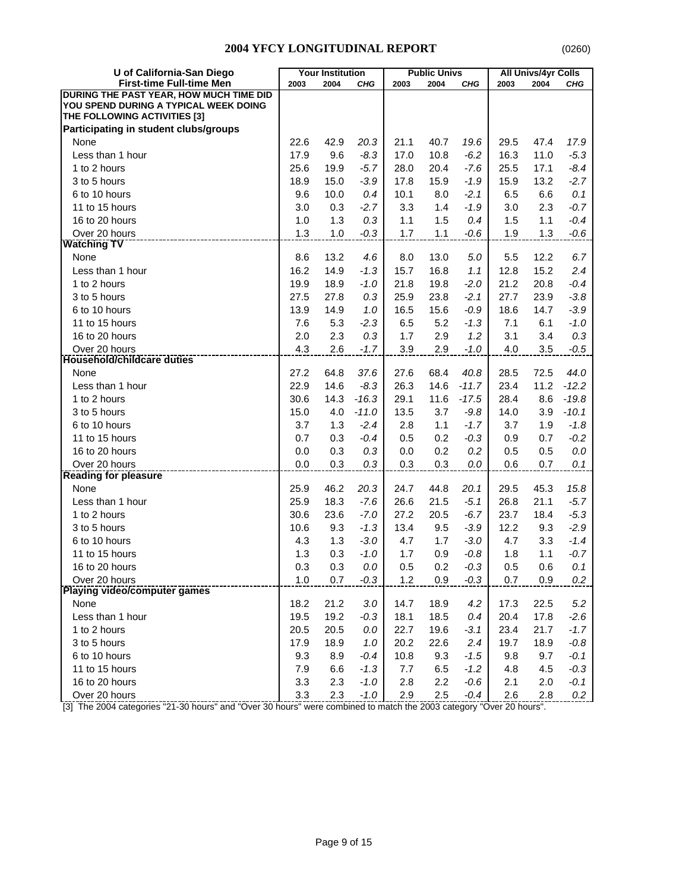| U of California-San Diego               |      | <b>Your Institution</b> |         |         | <b>Public Univs</b> |         |      | <b>All Univs/4yr Colls</b> |         |
|-----------------------------------------|------|-------------------------|---------|---------|---------------------|---------|------|----------------------------|---------|
| <b>First-time Full-time Men</b>         | 2003 | 2004                    | CHG     | 2003    | 2004                | CHG     | 2003 | 2004                       | CHG     |
| DURING THE PAST YEAR, HOW MUCH TIME DID |      |                         |         |         |                     |         |      |                            |         |
| YOU SPEND DURING A TYPICAL WEEK DOING   |      |                         |         |         |                     |         |      |                            |         |
| THE FOLLOWING ACTIVITIES [3]            |      |                         |         |         |                     |         |      |                            |         |
| Participating in student clubs/groups   |      |                         |         |         |                     |         |      |                            |         |
| None                                    | 22.6 | 42.9                    | 20.3    | 21.1    | 40.7                | 19.6    | 29.5 | 47.4                       | 17.9    |
| Less than 1 hour                        | 17.9 | 9.6                     | $-8.3$  | 17.0    | 10.8                | $-6.2$  | 16.3 | 11.0                       | $-5.3$  |
| 1 to 2 hours                            | 25.6 | 19.9                    | $-5.7$  | 28.0    | 20.4                | $-7.6$  | 25.5 | 17.1                       | $-8.4$  |
| 3 to 5 hours                            | 18.9 | 15.0                    | $-3.9$  | 17.8    | 15.9                | $-1.9$  | 15.9 | 13.2                       | $-2.7$  |
| 6 to 10 hours                           | 9.6  | 10.0                    | 0.4     | 10.1    | 8.0                 | -2.1    | 6.5  | 6.6                        | 0.1     |
| 11 to 15 hours                          | 3.0  | 0.3                     | $-2.7$  | 3.3     | 1.4                 | $-1.9$  | 3.0  | 2.3                        | $-0.7$  |
| 16 to 20 hours                          | 1.0  | 1.3                     | 0.3     | 1.1     | 1.5                 | 0.4     | 1.5  | 1.1                        | $-0.4$  |
| Over 20 hours                           | 1.3  | 1.0                     | $-0.3$  | 1.7     | 1.1                 | $-0.6$  | 1.9  | 1.3                        | $-0.6$  |
| <b>Watching TV</b>                      |      |                         |         |         |                     |         |      |                            |         |
| None                                    | 8.6  | 13.2                    | 4.6     | 8.0     | 13.0                | 5.0     | 5.5  | 12.2                       | 6.7     |
| Less than 1 hour                        | 16.2 | 14.9                    | $-1.3$  | 15.7    | 16.8                | 1.1     | 12.8 | 15.2                       | 2.4     |
| 1 to 2 hours                            | 19.9 | 18.9                    | $-1.0$  | 21.8    | 19.8                | $-2.0$  | 21.2 | 20.8                       | $-0.4$  |
| 3 to 5 hours                            | 27.5 | 27.8                    | 0.3     | 25.9    | 23.8                | $-2.1$  | 27.7 | 23.9                       | $-3.8$  |
| 6 to 10 hours                           | 13.9 | 14.9                    | 1.0     | 16.5    | 15.6                | $-0.9$  | 18.6 | 14.7                       | $-3.9$  |
| 11 to 15 hours                          | 7.6  | 5.3                     | $-2.3$  | 6.5     | 5.2                 | $-1.3$  | 7.1  | 6.1                        | $-1.0$  |
| 16 to 20 hours                          | 2.0  | 2.3                     | 0.3     | 1.7     | 2.9                 | 1.2     | 3.1  | 3.4                        | 0.3     |
| Over 20 hours                           | 4.3  | 2.6                     | $-1.7$  | 3.9     | 2.9                 | $-1.0$  | 4.0  | 3.5                        | $-0.5$  |
| Household/childcare duties              |      |                         |         |         |                     |         |      |                            |         |
| None                                    | 27.2 | 64.8                    | 37.6    | 27.6    | 68.4                | 40.8    | 28.5 | 72.5                       | 44.0    |
| Less than 1 hour                        | 22.9 | 14.6                    | $-8.3$  | 26.3    | 14.6                | $-11.7$ | 23.4 | 11.2                       | $-12.2$ |
| 1 to 2 hours                            | 30.6 | 14.3                    | $-16.3$ | 29.1    | 11.6                | $-17.5$ | 28.4 | 8.6                        | $-19.8$ |
| 3 to 5 hours                            | 15.0 | 4.0                     | $-11.0$ | 13.5    | 3.7                 | $-9.8$  | 14.0 | 3.9                        | $-10.1$ |
| 6 to 10 hours                           | 3.7  | 1.3                     | $-2.4$  | 2.8     | 1.1                 | $-1.7$  | 3.7  | 1.9                        | $-1.8$  |
| 11 to 15 hours                          | 0.7  | 0.3                     | $-0.4$  | 0.5     | 0.2                 | $-0.3$  | 0.9  | 0.7                        | $-0.2$  |
| 16 to 20 hours                          | 0.0  | 0.3                     | 0.3     | 0.0     | 0.2                 | 0.2     | 0.5  | 0.5                        | $0.0\,$ |
| Over 20 hours                           | 0.0  | 0.3                     | 0.3     | 0.3     | 0.3                 | 0.0     | 0.6  | 0.7                        | 0.1     |
| <b>Reading for pleasure</b>             |      |                         |         |         |                     |         |      |                            |         |
| None                                    | 25.9 | 46.2                    | 20.3    | 24.7    | 44.8                | 20.1    | 29.5 | 45.3                       | 15.8    |
| Less than 1 hour                        | 25.9 | 18.3                    | $-7.6$  | 26.6    | 21.5                | $-5.1$  | 26.8 | 21.1                       | $-5.7$  |
| 1 to 2 hours                            | 30.6 | 23.6                    | $-7.0$  | 27.2    | 20.5                | $-6.7$  | 23.7 | 18.4                       | $-5.3$  |
| 3 to 5 hours                            | 10.6 | 9.3                     | $-1.3$  | 13.4    | 9.5                 | $-3.9$  | 12.2 | 9.3                        | $-2.9$  |
| 6 to 10 hours                           | 4.3  | 1.3                     | $-3.0$  | 4.7     | 1.7                 | $-3.0$  | 4.7  | 3.3                        | $-1.4$  |
| 11 to 15 hours                          | 1.3  | 0.3                     | $-1.0$  | 1.7     | 0.9                 | $-0.8$  | 1.8  | 1.1                        | $-0.7$  |
| 16 to 20 hours                          | 0.3  | $0.3\,$                 | $0.0\,$ | $0.5\,$ | 0.2                 | $-0.3$  | 0.5  | 0.6                        | 0.1     |
| Over 20 hours                           | 1.0  | 0.7                     | $-0.3$  | 1.2     | 0.9                 | $-0.3$  | 0.7  | 0.9                        | 0.2     |
| <b>Playing video/computer games</b>     |      |                         |         |         |                     |         |      |                            |         |
| None                                    | 18.2 | 21.2                    | 3.0     | 14.7    | 18.9                | 4.2     | 17.3 | 22.5                       | 5.2     |
| Less than 1 hour                        | 19.5 | 19.2                    | $-0.3$  | 18.1    | 18.5                | 0.4     | 20.4 | 17.8                       | $-2.6$  |
| 1 to 2 hours                            | 20.5 | 20.5                    | 0.0     | 22.7    | 19.6                | $-3.1$  | 23.4 | 21.7                       | $-1.7$  |
| 3 to 5 hours                            | 17.9 | 18.9                    | $1.0$   | 20.2    | 22.6                | 2.4     | 19.7 | 18.9                       | $-0.8$  |
| 6 to 10 hours                           | 9.3  | 8.9                     | $-0.4$  | 10.8    | 9.3                 | $-1.5$  | 9.8  | 9.7                        | $-0.1$  |
| 11 to 15 hours                          | 7.9  | 6.6                     | $-1.3$  | 7.7     | 6.5                 | $-1.2$  | 4.8  | 4.5                        | $-0.3$  |
| 16 to 20 hours                          | 3.3  | 2.3                     | $-1.0$  | 2.8     | 2.2                 | $-0.6$  | 2.1  | 2.0                        | $-0.1$  |
| Over 20 hours                           | 3.3  | 2.3                     | $-1.0$  | 2.9     | 2.5                 | $-0.4$  | 2.6  | 2.8                        | 0.2     |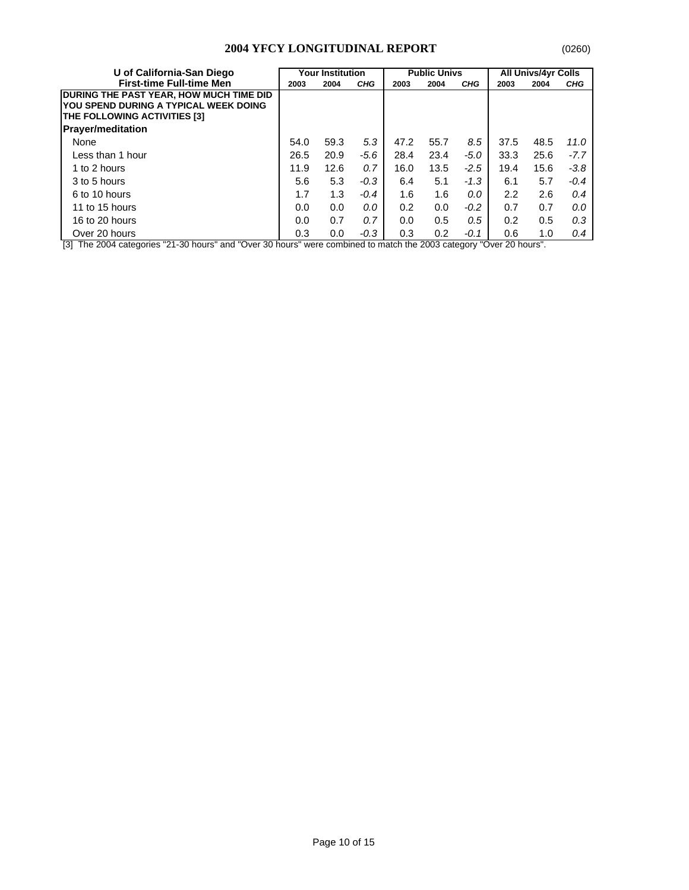| U of California-San Diego                                                                                               | Your Institution |      |            |      | <b>Public Univs</b> |            | <b>All Univs/4yr Colls</b> |      |            |
|-------------------------------------------------------------------------------------------------------------------------|------------------|------|------------|------|---------------------|------------|----------------------------|------|------------|
| <b>First-time Full-time Men</b>                                                                                         | 2003             | 2004 | <b>CHG</b> | 2003 | 2004                | <b>CHG</b> | 2003                       | 2004 | <b>CHG</b> |
| <b>DURING THE PAST YEAR, HOW MUCH TIME DID</b><br>YOU SPEND DURING A TYPICAL WEEK DOING<br>THE FOLLOWING ACTIVITIES [3] |                  |      |            |      |                     |            |                            |      |            |
| <b>Prayer/meditation</b>                                                                                                |                  |      |            |      |                     |            |                            |      |            |
| None                                                                                                                    | 54.0             | 59.3 | 5.3        | 47.2 | 55.7                | 8.5        | 37.5                       | 48.5 | 11.0       |
| Less than 1 hour                                                                                                        | 26.5             | 20.9 | $-5.6$     | 28.4 | 23.4                | $-5.0$     | 33.3                       | 25.6 | $-7.7$     |
| 1 to 2 hours                                                                                                            | 11.9             | 12.6 | 0.7        | 16.0 | 13.5                | $-2.5$     | 19.4                       | 15.6 | $-3.8$     |
| 3 to 5 hours                                                                                                            | 5.6              | 5.3  | $-0.3$     | 6.4  | 5.1                 | $-1.3$     | 6.1                        | 5.7  | $-0.4$     |
| 6 to 10 hours                                                                                                           | 1.7              | 1.3  | $-0.4$     | 1.6  | 1.6                 | 0.0        | 2.2                        | 2.6  | 0.4        |
| 11 to 15 hours                                                                                                          | 0.0              | 0.0  | 0.0        | 0.2  | 0.0                 | $-0.2$     | 0.7                        | 0.7  | 0.0        |
| 16 to 20 hours                                                                                                          | 0.0              | 0.7  | 0.7        | 0.0  | 0.5                 | 0.5        | 0.2                        | 0.5  | 0.3        |
| Over 20 hours                                                                                                           | 0.3              | 0.0  | $-0.3$     | 0.3  | 0.2                 | -0.1       | 0.6                        | 1.0  | 0.4        |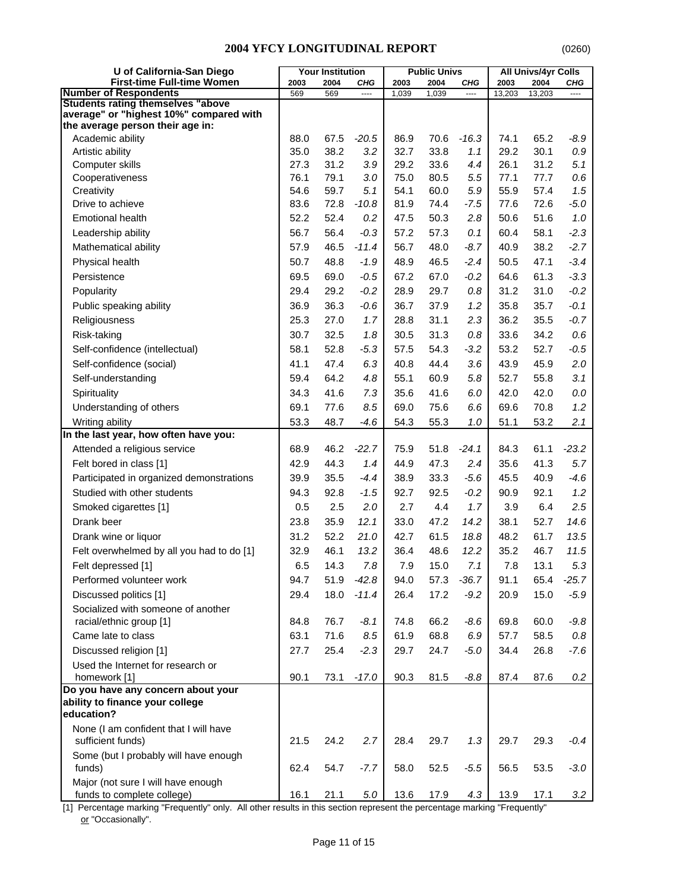| U of California-San Diego                                                           |      | <b>Your Institution</b> |          |       | <b>Public Univs</b> |         |        | <b>All Univs/4yr Colls</b> |          |
|-------------------------------------------------------------------------------------|------|-------------------------|----------|-------|---------------------|---------|--------|----------------------------|----------|
| <b>First-time Full-time Women</b>                                                   | 2003 | 2004                    | CHG      | 2003  | 2004                | CHG     | 2003   | 2004                       | CHG      |
| <b>Number of Respondents</b>                                                        | 569  | 569                     | $\cdots$ | 1,039 | 1,039               | ----    | 13,203 | 13,203                     | $\cdots$ |
| <b>Students rating themselves "above</b><br>average" or "highest 10%" compared with |      |                         |          |       |                     |         |        |                            |          |
| the average person their age in:                                                    |      |                         |          |       |                     |         |        |                            |          |
| Academic ability                                                                    | 88.0 | 67.5                    | $-20.5$  | 86.9  | 70.6                | $-16.3$ | 74.1   | 65.2                       | $-8.9$   |
| Artistic ability                                                                    | 35.0 | 38.2                    | 3.2      | 32.7  | 33.8                | 1.1     | 29.2   | 30.1                       | $0.9\,$  |
| Computer skills                                                                     | 27.3 | 31.2                    | 3.9      | 29.2  | 33.6                | 4.4     | 26.1   | 31.2                       | 5.1      |
| Cooperativeness                                                                     | 76.1 | 79.1                    | 3.0      | 75.0  | 80.5                | 5.5     | 77.1   | 77.7                       | 0.6      |
| Creativity                                                                          | 54.6 | 59.7                    | 5.1      | 54.1  | 60.0                | 5.9     | 55.9   | 57.4                       | 1.5      |
| Drive to achieve                                                                    | 83.6 | 72.8                    | $-10.8$  | 81.9  | 74.4                | $-7.5$  | 77.6   | 72.6                       | $-5.0$   |
| <b>Emotional health</b>                                                             | 52.2 | 52.4                    | 0.2      | 47.5  | 50.3                | 2.8     | 50.6   | 51.6                       | $1.0$    |
| Leadership ability                                                                  | 56.7 | 56.4                    | $-0.3$   | 57.2  | 57.3                | 0.1     | 60.4   | 58.1                       | $-2.3$   |
| Mathematical ability                                                                | 57.9 | 46.5                    | $-11.4$  | 56.7  | 48.0                | $-8.7$  | 40.9   | 38.2                       | $-2.7$   |
| Physical health                                                                     | 50.7 | 48.8                    | $-1.9$   | 48.9  | 46.5                | $-2.4$  | 50.5   | 47.1                       | $-3.4$   |
| Persistence                                                                         | 69.5 | 69.0                    | $-0.5$   | 67.2  | 67.0                | $-0.2$  | 64.6   | 61.3                       | $-3.3$   |
| Popularity                                                                          | 29.4 | 29.2                    | $-0.2$   | 28.9  | 29.7                | 0.8     | 31.2   | 31.0                       | $-0.2$   |
| Public speaking ability                                                             | 36.9 | 36.3                    | $-0.6$   | 36.7  | 37.9                | 1.2     | 35.8   | 35.7                       | $-0.1$   |
| Religiousness                                                                       | 25.3 | 27.0                    | 1.7      | 28.8  | 31.1                | 2.3     | 36.2   | 35.5                       | $-0.7$   |
| Risk-taking                                                                         | 30.7 | 32.5                    | 1.8      | 30.5  | 31.3                | 0.8     | 33.6   | 34.2                       | 0.6      |
| Self-confidence (intellectual)                                                      | 58.1 | 52.8                    | $-5.3$   | 57.5  | 54.3                | $-3.2$  | 53.2   | 52.7                       | $-0.5$   |
| Self-confidence (social)                                                            | 41.1 | 47.4                    | 6.3      | 40.8  | 44.4                | 3.6     | 43.9   | 45.9                       | 2.0      |
| Self-understanding                                                                  | 59.4 | 64.2                    | 4.8      | 55.1  | 60.9                | 5.8     | 52.7   | 55.8                       | 3.1      |
| Spirituality                                                                        | 34.3 | 41.6                    | 7.3      | 35.6  | 41.6                | 6.0     | 42.0   | 42.0                       | $0.0\,$  |
| Understanding of others                                                             | 69.1 | 77.6                    | 8.5      | 69.0  | 75.6                | 6.6     | 69.6   | 70.8                       | 1.2      |
| Writing ability                                                                     | 53.3 | 48.7                    | $-4.6$   | 54.3  | 55.3                | 1.0     | 51.1   | 53.2                       | 2.1      |
| In the last year, how often have you:                                               |      |                         |          |       |                     |         |        |                            |          |
| Attended a religious service                                                        | 68.9 | 46.2                    | $-22.7$  | 75.9  | 51.8                | $-24.1$ | 84.3   | 61.1                       | $-23.2$  |
| Felt bored in class [1]                                                             | 42.9 | 44.3                    | 1.4      | 44.9  | 47.3                | 2.4     | 35.6   | 41.3                       | 5.7      |
| Participated in organized demonstrations                                            | 39.9 | 35.5                    | $-4.4$   | 38.9  | 33.3                | $-5.6$  | 45.5   | 40.9                       | $-4.6$   |
| Studied with other students                                                         | 94.3 | 92.8                    | $-1.5$   | 92.7  | 92.5                | $-0.2$  | 90.9   | 92.1                       | 1.2      |
| Smoked cigarettes [1]                                                               | 0.5  | 2.5                     | 2.0      | 2.7   | 4.4                 | 1.7     | 3.9    | 6.4                        | 2.5      |
| Drank beer                                                                          | 23.8 | 35.9                    | 12.1     | 33.0  | 47.2                | 14.2    | 38.1   | 52.7                       | 14.6     |
|                                                                                     | 31.2 | 52.2                    | 21.0     | 42.7  | 61.5                | 18.8    | 48.2   | 61.7                       | 13.5     |
| Drank wine or liquor                                                                |      |                         |          |       |                     |         |        |                            |          |
| Felt overwhelmed by all you had to do [1]                                           | 32.9 | 46.1                    | 13.2     | 36.4  | 48.6                | 12.2    | 35.2   | 46.7                       | 11.5     |
| Felt depressed [1]                                                                  | 6.5  | 14.3                    | $7.8\,$  | 7.9   | 15.0                | 7.1     | $7.8$  | 13.1                       | 5.3      |
| Performed volunteer work                                                            | 94.7 | 51.9                    | $-42.8$  | 94.0  | 57.3                | $-36.7$ | 91.1   | 65.4                       | $-25.7$  |
| Discussed politics [1]                                                              | 29.4 | 18.0                    | $-11.4$  | 26.4  | 17.2                | $-9.2$  | 20.9   | 15.0                       | $-5.9$   |
| Socialized with someone of another                                                  |      |                         |          |       |                     |         |        |                            |          |
| racial/ethnic group [1]                                                             | 84.8 | 76.7                    | $-8.1$   | 74.8  | 66.2                | $-8.6$  | 69.8   | 60.0                       | $-9.8$   |
| Came late to class                                                                  | 63.1 | 71.6                    | 8.5      | 61.9  | 68.8                | 6.9     | 57.7   | 58.5                       | $0.8\,$  |
| Discussed religion [1]                                                              | 27.7 | 25.4                    | $-2.3$   | 29.7  | 24.7                | $-5.0$  | 34.4   | 26.8                       | $-7.6$   |
| Used the Internet for research or                                                   |      |                         |          |       |                     |         |        |                            |          |
| homework [1]<br>Do you have any concern about your                                  | 90.1 | 73.1                    | $-17.0$  | 90.3  | 81.5                | $-8.8$  | 87.4   | 87.6                       | $0.2\,$  |
| ability to finance your college                                                     |      |                         |          |       |                     |         |        |                            |          |
| education?                                                                          |      |                         |          |       |                     |         |        |                            |          |
| None (I am confident that I will have                                               |      |                         |          |       |                     |         |        |                            |          |
| sufficient funds)                                                                   | 21.5 | 24.2                    | 2.7      | 28.4  | 29.7                | 1.3     | 29.7   | 29.3                       | $-0.4$   |
| Some (but I probably will have enough                                               |      |                         |          |       |                     |         |        |                            |          |
| funds)                                                                              | 62.4 | 54.7                    | $-7.7$   | 58.0  | 52.5                | $-5.5$  | 56.5   | 53.5                       | $-3.0$   |
| Major (not sure I will have enough<br>funds to complete college)                    | 16.1 | 21.1                    | $5.0\,$  | 13.6  | 17.9                | 4.3     | 13.9   | 17.1                       | 3.2      |

[1] Percentage marking "Frequently" only. All other results in this section represent the percentage marking "Frequently" or "Occasionally".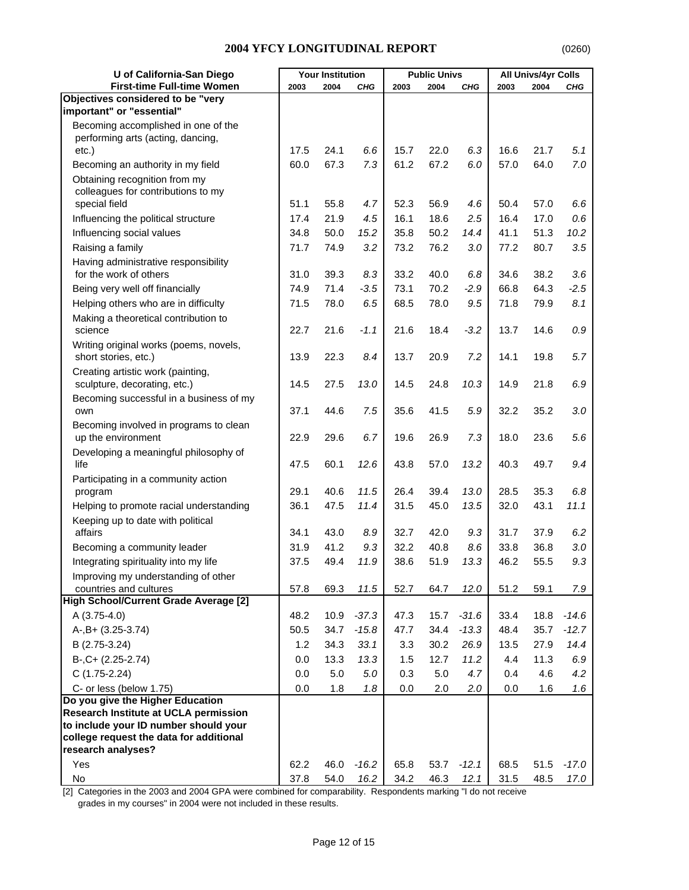| U of California-San Diego                                          |              | <b>Your Institution</b> |            |              | <b>Public Univs</b> |                 |              | <b>All Univs/4yr Colls</b> |                    |
|--------------------------------------------------------------------|--------------|-------------------------|------------|--------------|---------------------|-----------------|--------------|----------------------------|--------------------|
| <b>First-time Full-time Women</b>                                  | 2003         | 2004                    | <b>CHG</b> | 2003         | 2004                | CHG             | 2003         | 2004                       | CHG                |
| Objectives considered to be "very                                  |              |                         |            |              |                     |                 |              |                            |                    |
| important" or "essential"                                          |              |                         |            |              |                     |                 |              |                            |                    |
| Becoming accomplished in one of the                                |              |                         |            |              |                     |                 |              |                            |                    |
| performing arts (acting, dancing,                                  |              |                         |            |              |                     |                 |              |                            |                    |
| $etc.$ )                                                           | 17.5<br>60.0 | 24.1<br>67.3            | 6.6<br>7.3 | 15.7<br>61.2 | 22.0<br>67.2        | 6.3<br>6.0      | 16.6<br>57.0 | 21.7<br>64.0               | 5.1<br>7.0         |
| Becoming an authority in my field<br>Obtaining recognition from my |              |                         |            |              |                     |                 |              |                            |                    |
| colleagues for contributions to my                                 |              |                         |            |              |                     |                 |              |                            |                    |
| special field                                                      | 51.1         | 55.8                    | 4.7        | 52.3         | 56.9                | 4.6             | 50.4         | 57.0                       | 6.6                |
| Influencing the political structure                                | 17.4         | 21.9                    | 4.5        | 16.1         | 18.6                | 2.5             | 16.4         | 17.0                       | 0.6                |
| Influencing social values                                          | 34.8         | 50.0                    | 15.2       | 35.8         | 50.2                | 14.4            | 41.1         | 51.3                       | 10.2               |
| Raising a family                                                   | 71.7         | 74.9                    | 3.2        | 73.2         | 76.2                | 3.0             | 77.2         | 80.7                       | 3.5                |
| Having administrative responsibility                               |              |                         |            |              |                     |                 |              |                            |                    |
| for the work of others                                             | 31.0         | 39.3                    | 8.3        | 33.2         | 40.0                | 6.8             | 34.6         | 38.2                       | 3.6                |
| Being very well off financially                                    | 74.9         | 71.4                    | $-3.5$     | 73.1         | 70.2                | $-2.9$          | 66.8         | 64.3                       | $-2.5$             |
| Helping others who are in difficulty                               | 71.5         | 78.0                    | 6.5        | 68.5         | 78.0                | 9.5             | 71.8         | 79.9                       | 8.1                |
| Making a theoretical contribution to                               |              |                         |            |              |                     |                 |              |                            |                    |
| science                                                            | 22.7         | 21.6                    | $-1.1$     | 21.6         | 18.4                | $-3.2$          | 13.7         | 14.6                       | $0.9\,$            |
| Writing original works (poems, novels,                             |              |                         |            |              |                     |                 |              |                            |                    |
| short stories, etc.)                                               | 13.9         | 22.3                    | 8.4        | 13.7         | 20.9                | 7.2             | 14.1         | 19.8                       | 5.7                |
| Creating artistic work (painting,                                  |              |                         |            |              |                     |                 |              |                            |                    |
| sculpture, decorating, etc.)                                       | 14.5         | 27.5                    | 13.0       | 14.5         | 24.8                | 10.3            | 14.9         | 21.8                       | 6.9                |
| Becoming successful in a business of my                            | 37.1         | 44.6                    | 7.5        | 35.6         | 41.5                | 5.9             | 32.2         | 35.2                       | 3.0                |
| own                                                                |              |                         |            |              |                     |                 |              |                            |                    |
| Becoming involved in programs to clean<br>up the environment       | 22.9         | 29.6                    | 6.7        | 19.6         | 26.9                | 7.3             | 18.0         | 23.6                       | 5.6                |
| Developing a meaningful philosophy of                              |              |                         |            |              |                     |                 |              |                            |                    |
| life                                                               | 47.5         | 60.1                    | 12.6       | 43.8         | 57.0                | 13.2            | 40.3         | 49.7                       | 9.4                |
| Participating in a community action                                |              |                         |            |              |                     |                 |              |                            |                    |
| program                                                            | 29.1         | 40.6                    | 11.5       | 26.4         | 39.4                | 13.0            | 28.5         | 35.3                       | 6.8                |
| Helping to promote racial understanding                            | 36.1         | 47.5                    | 11.4       | 31.5         | 45.0                | 13.5            | 32.0         | 43.1                       | 11.1               |
| Keeping up to date with political                                  |              |                         |            |              |                     |                 |              |                            |                    |
| affairs                                                            | 34.1         | 43.0                    | 8.9        | 32.7         | 42.0                | 9.3             | 31.7         | 37.9                       | 6.2                |
| Becoming a community leader                                        | 31.9         | 41.2                    | 9.3        | 32.2         | 40.8                | 8.6             | 33.8         | 36.8                       | 3.0                |
| Integrating spirituality into my life                              | 37.5         | 49.4                    | 11.9       | 38.6         | 51.9                | 13.3            | 46.2         | 55.5                       | 9.3                |
| Improving my understanding of other                                |              |                         |            |              |                     |                 |              |                            |                    |
| countries and cultures                                             | 57.8         | 69.3                    | 11.5       | 52.7         | 64.7                | 12.0            | 51.2         | 59.1                       | 7.9                |
| High School/Current Grade Average [2]<br>A (3.75-4.0)              | 48.2         | 10.9                    | $-37.3$    |              |                     |                 |              | 18.8                       |                    |
|                                                                    |              |                         | $-15.8$    | 47.3         | 15.7                | $-31.6$         | 33.4         | 35.7                       | $-14.6$<br>$-12.7$ |
| A-, B+ (3.25-3.74)                                                 | 50.5<br>1.2  | 34.7<br>34.3            | 33.1       | 47.7<br>3.3  | 34.4<br>30.2        | $-13.3$<br>26.9 | 48.4<br>13.5 | 27.9                       | 14.4               |
| B (2.75-3.24)                                                      |              |                         |            |              |                     |                 |              |                            |                    |
| $B-, C+ (2.25-2.74)$                                               | 0.0          | 13.3                    | 13.3       | 1.5          | 12.7<br>5.0         | 11.2            | 4.4          | 11.3                       | 6.9                |
| $C(1.75-2.24)$                                                     | 0.0          | 5.0                     | 5.0        | 0.3          |                     | 4.7             | 0.4          | 4.6                        | 4.2                |
| C- or less (below 1.75)<br>Do you give the Higher Education        | 0.0          | 1.8                     | 1.8        | 0.0          | 2.0                 | 2.0             | 0.0          | 1.6                        | 1.6                |
| Research Institute at UCLA permission                              |              |                         |            |              |                     |                 |              |                            |                    |
| to include your ID number should your                              |              |                         |            |              |                     |                 |              |                            |                    |
| college request the data for additional                            |              |                         |            |              |                     |                 |              |                            |                    |
| research analyses?                                                 |              |                         |            |              |                     |                 |              |                            |                    |
| Yes                                                                | 62.2         | 46.0                    | $-16.2$    | 65.8         | 53.7                | $-12.1$         | 68.5         | 51.5                       | $-17.0$            |
| No                                                                 | 37.8         | 54.0                    | 16.2       | 34.2         | 46.3                | 12.1            | 31.5         | 48.5                       | 17.0               |

[2] Categories in the 2003 and 2004 GPA were combined for comparability. Respondents marking "I do not receive grades in my courses" in 2004 were not included in these results.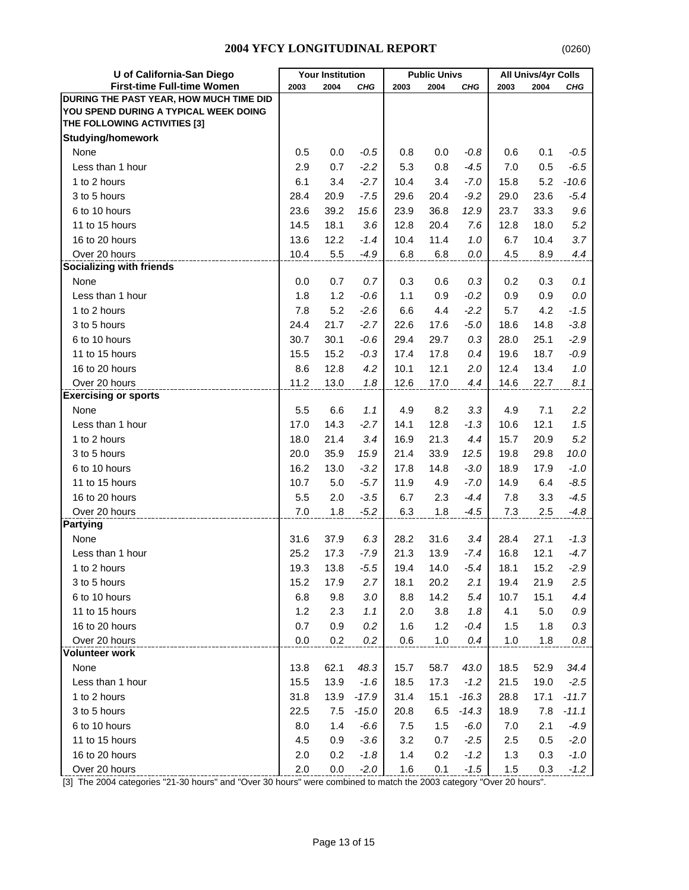| U of California-San Diego               | <b>Your Institution</b> |      | <b>Public Univs</b> |      |      | All Univs/4yr Colls |       |      |         |
|-----------------------------------------|-------------------------|------|---------------------|------|------|---------------------|-------|------|---------|
| <b>First-time Full-time Women</b>       | 2003                    | 2004 | CHG                 | 2003 | 2004 | CHG                 | 2003  | 2004 | CHG     |
| DURING THE PAST YEAR, HOW MUCH TIME DID |                         |      |                     |      |      |                     |       |      |         |
| YOU SPEND DURING A TYPICAL WEEK DOING   |                         |      |                     |      |      |                     |       |      |         |
| THE FOLLOWING ACTIVITIES [3]            |                         |      |                     |      |      |                     |       |      |         |
| <b>Studying/homework</b>                |                         |      |                     |      |      |                     |       |      |         |
| None                                    | 0.5                     | 0.0  | $-0.5$              | 0.8  | 0.0  | $-0.8$              | 0.6   | 0.1  | $-0.5$  |
| Less than 1 hour                        | 2.9                     | 0.7  | $-2.2$              | 5.3  | 0.8  | $-4.5$              | 7.0   | 0.5  | $-6.5$  |
| 1 to 2 hours                            | 6.1                     | 3.4  | $-2.7$              | 10.4 | 3.4  | $-7.0$              | 15.8  | 5.2  | $-10.6$ |
| 3 to 5 hours                            | 28.4                    | 20.9 | $-7.5$              | 29.6 | 20.4 | $-9.2$              | 29.0  | 23.6 | $-5.4$  |
| 6 to 10 hours                           | 23.6                    | 39.2 | 15.6                | 23.9 | 36.8 | 12.9                | 23.7  | 33.3 | 9.6     |
| 11 to 15 hours                          | 14.5                    | 18.1 | 3.6                 | 12.8 | 20.4 | 7.6                 | 12.8  | 18.0 | 5.2     |
| 16 to 20 hours                          | 13.6                    | 12.2 | $-1.4$              | 10.4 | 11.4 | 1.0                 | 6.7   | 10.4 | 3.7     |
| Over 20 hours                           | 10.4                    | 5.5  | $-4.9$              | 6.8  | 6.8  | 0.0                 | 4.5   | 8.9  | 4.4     |
| <b>Socializing with friends</b>         |                         |      |                     |      |      |                     |       |      |         |
| None                                    | 0.0                     | 0.7  | 0.7                 | 0.3  | 0.6  | 0.3                 | 0.2   | 0.3  | 0.1     |
| Less than 1 hour                        | 1.8                     | 1.2  | $-0.6$              | 1.1  | 0.9  | $-0.2$              | 0.9   | 0.9  | 0.0     |
| 1 to 2 hours                            | 7.8                     | 5.2  | $-2.6$              | 6.6  | 4.4  | $-2.2$              | 5.7   | 4.2  | $-1.5$  |
| 3 to 5 hours                            | 24.4                    | 21.7 | $-2.7$              | 22.6 | 17.6 | $-5.0$              | 18.6  | 14.8 | $-3.8$  |
| 6 to 10 hours                           | 30.7                    | 30.1 | $-0.6$              | 29.4 | 29.7 | 0.3                 | 28.0  | 25.1 | $-2.9$  |
| 11 to 15 hours                          | 15.5                    | 15.2 | $-0.3$              | 17.4 | 17.8 | 0.4                 | 19.6  | 18.7 | $-0.9$  |
| 16 to 20 hours                          | 8.6                     | 12.8 | 4.2                 | 10.1 | 12.1 | 2.0                 | 12.4  | 13.4 | 1.0     |
| Over 20 hours                           | 11.2                    | 13.0 | 1.8                 | 12.6 | 17.0 | 4.4                 | 14.6  | 22.7 | 8.1     |
| <b>Exercising or sports</b>             |                         |      |                     |      |      |                     |       |      |         |
| None                                    | 5.5                     | 6.6  | 1.1                 | 4.9  | 8.2  | 3.3                 | 4.9   | 7.1  | 2.2     |
| Less than 1 hour                        | 17.0                    | 14.3 | $-2.7$              | 14.1 | 12.8 | $-1.3$              | 10.6  | 12.1 | 1.5     |
| 1 to 2 hours                            | 18.0                    | 21.4 | 3.4                 | 16.9 | 21.3 | 4.4                 | 15.7  | 20.9 | 5.2     |
| 3 to 5 hours                            | 20.0                    | 35.9 | 15.9                | 21.4 | 33.9 | 12.5                | 19.8  | 29.8 | 10.0    |
| 6 to 10 hours                           | 16.2                    | 13.0 | $-3.2$              | 17.8 | 14.8 | $-3.0$              | 18.9  | 17.9 | $-1.0$  |
| 11 to 15 hours                          | 10.7                    | 5.0  | $-5.7$              | 11.9 | 4.9  | $-7.0$              | 14.9  | 6.4  | $-8.5$  |
| 16 to 20 hours                          | 5.5                     | 2.0  | $-3.5$              | 6.7  | 2.3  | $-4.4$              | 7.8   | 3.3  | $-4.5$  |
| Over 20 hours                           | 7.0                     | 1.8  | $-5.2$              | 6.3  | 1.8  | $-4.5$              | 7.3   | 2.5  | $-4.8$  |
| Partying                                |                         |      |                     |      |      |                     |       |      |         |
| None                                    | 31.6                    | 37.9 | 6.3                 | 28.2 | 31.6 | 3.4                 | 28.4  | 27.1 | $-1.3$  |
| Less than 1 hour                        | 25.2                    | 17.3 | $-7.9$              | 21.3 | 13.9 | $-7.4$              | 16.8  | 12.1 | $-4.7$  |
| 1 to 2 hours                            | 19.3                    | 13.8 | $-5.5$              | 19.4 | 14.0 | $-5.4$              | 18.1  | 15.2 | $-2.9$  |
| 3 to 5 hours                            | 15.2                    | 17.9 | 2.7                 | 18.1 | 20.2 | 2.1                 | 19.4  | 21.9 | 2.5     |
| 6 to 10 hours                           | 6.8                     | 9.8  | 3.0                 | 8.8  | 14.2 | 5.4                 | 10.7  | 15.1 | 4.4     |
| 11 to 15 hours                          | 1.2                     | 2.3  | 1.1                 | 2.0  | 3.8  | 1.8                 | 4.1   | 5.0  | 0.9     |
| 16 to 20 hours                          | 0.7                     | 0.9  | 0.2                 | 1.6  | 1.2  | $-0.4$              | 1.5   | 1.8  | 0.3     |
| Over 20 hours                           | 0.0                     | 0.2  | 0.2                 | 0.6  | 1.0  | 0.4                 | 1.0   | 1.8  | $0.8\,$ |
| <b>Volunteer work</b>                   |                         |      |                     |      |      |                     |       |      |         |
| None                                    | 13.8                    | 62.1 | 48.3                | 15.7 | 58.7 | 43.0                | 18.5  | 52.9 | 34.4    |
| Less than 1 hour                        | 15.5                    | 13.9 | $-1.6$              | 18.5 | 17.3 | $-1.2$              | 21.5  | 19.0 | $-2.5$  |
| 1 to 2 hours                            | 31.8                    | 13.9 | $-17.9$             | 31.4 | 15.1 | $-16.3$             | 28.8  | 17.1 | $-11.7$ |
| 3 to 5 hours                            | 22.5                    | 7.5  | $-15.0$             | 20.8 | 6.5  | $-14.3$             | 18.9  | 7.8  | $-11.1$ |
| 6 to 10 hours                           | 8.0                     | 1.4  | $-6.6$              | 7.5  | 1.5  | $-6.0$              | 7.0   | 2.1  | $-4.9$  |
| 11 to 15 hours                          | 4.5                     | 0.9  | $-3.6$              | 3.2  | 0.7  | $-2.5$              | 2.5   | 0.5  | $-2.0$  |
| 16 to 20 hours                          | 2.0                     | 0.2  | $-1.8$              | 1.4  | 0.2  | $-1.2$              | 1.3   | 0.3  | $-1.0$  |
| Over 20 hours                           | 2.0                     | 0.0  | $-2.0$              | 1.6  | 0.1  | $-1.5$              | $1.5$ | 0.3  | $-1.2$  |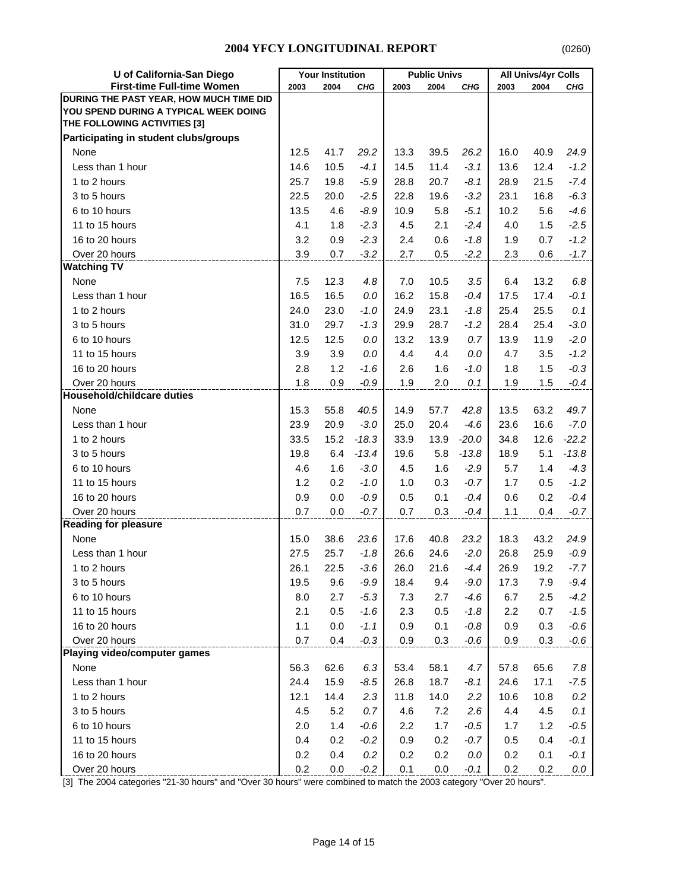| U of California-San Diego                                                                                                                                                                                                                            | <b>Your Institution</b>                                                                     |                                                                                                | <b>Public Univs</b>                                                                                                |                                                                                             |                                                                                            | All Univs/4yr Colls                                                                                                  |                                                                                             |                                                                                            |                                                                                                                        |
|------------------------------------------------------------------------------------------------------------------------------------------------------------------------------------------------------------------------------------------------------|---------------------------------------------------------------------------------------------|------------------------------------------------------------------------------------------------|--------------------------------------------------------------------------------------------------------------------|---------------------------------------------------------------------------------------------|--------------------------------------------------------------------------------------------|----------------------------------------------------------------------------------------------------------------------|---------------------------------------------------------------------------------------------|--------------------------------------------------------------------------------------------|------------------------------------------------------------------------------------------------------------------------|
| <b>First-time Full-time Women</b>                                                                                                                                                                                                                    | 2003                                                                                        | 2004                                                                                           | <b>CHG</b>                                                                                                         | 2003                                                                                        | 2004                                                                                       | <b>CHG</b>                                                                                                           | 2003                                                                                        | 2004                                                                                       | CHG                                                                                                                    |
| DURING THE PAST YEAR, HOW MUCH TIME DID                                                                                                                                                                                                              |                                                                                             |                                                                                                |                                                                                                                    |                                                                                             |                                                                                            |                                                                                                                      |                                                                                             |                                                                                            |                                                                                                                        |
| YOU SPEND DURING A TYPICAL WEEK DOING                                                                                                                                                                                                                |                                                                                             |                                                                                                |                                                                                                                    |                                                                                             |                                                                                            |                                                                                                                      |                                                                                             |                                                                                            |                                                                                                                        |
| THE FOLLOWING ACTIVITIES [3]                                                                                                                                                                                                                         |                                                                                             |                                                                                                |                                                                                                                    |                                                                                             |                                                                                            |                                                                                                                      |                                                                                             |                                                                                            |                                                                                                                        |
| Participating in student clubs/groups                                                                                                                                                                                                                |                                                                                             |                                                                                                |                                                                                                                    |                                                                                             |                                                                                            |                                                                                                                      |                                                                                             |                                                                                            |                                                                                                                        |
| None                                                                                                                                                                                                                                                 | 12.5                                                                                        | 41.7                                                                                           | 29.2                                                                                                               | 13.3                                                                                        | 39.5                                                                                       | 26.2                                                                                                                 | 16.0                                                                                        | 40.9                                                                                       | 24.9                                                                                                                   |
| Less than 1 hour                                                                                                                                                                                                                                     | 14.6                                                                                        | 10.5                                                                                           | $-4.1$                                                                                                             | 14.5                                                                                        | 11.4                                                                                       | $-3.1$                                                                                                               | 13.6                                                                                        | 12.4                                                                                       | $-1.2$                                                                                                                 |
| 1 to 2 hours                                                                                                                                                                                                                                         | 25.7                                                                                        | 19.8                                                                                           | $-5.9$                                                                                                             | 28.8                                                                                        | 20.7                                                                                       | $-8.1$                                                                                                               | 28.9                                                                                        | 21.5                                                                                       | $-7.4$                                                                                                                 |
| 3 to 5 hours                                                                                                                                                                                                                                         | 22.5                                                                                        | 20.0                                                                                           | $-2.5$                                                                                                             | 22.8                                                                                        | 19.6                                                                                       | $-3.2$                                                                                                               | 23.1                                                                                        | 16.8                                                                                       | $-6.3$                                                                                                                 |
| 6 to 10 hours                                                                                                                                                                                                                                        | 13.5                                                                                        | 4.6                                                                                            | $-8.9$                                                                                                             | 10.9                                                                                        | 5.8                                                                                        | $-5.1$                                                                                                               | 10.2                                                                                        | 5.6                                                                                        | $-4.6$                                                                                                                 |
| 11 to 15 hours                                                                                                                                                                                                                                       | 4.1                                                                                         | 1.8                                                                                            | $-2.3$                                                                                                             | 4.5                                                                                         | 2.1                                                                                        | $-2.4$                                                                                                               | 4.0                                                                                         | 1.5                                                                                        | $-2.5$                                                                                                                 |
| 16 to 20 hours                                                                                                                                                                                                                                       | 3.2                                                                                         | 0.9                                                                                            | $-2.3$                                                                                                             | 2.4                                                                                         | 0.6                                                                                        | $-1.8$                                                                                                               | 1.9                                                                                         | 0.7                                                                                        | $-1.2$                                                                                                                 |
| Over 20 hours                                                                                                                                                                                                                                        | 3.9                                                                                         | 0.7                                                                                            | $-3.2$                                                                                                             | 2.7                                                                                         | 0.5                                                                                        | $-2.2$                                                                                                               | 2.3                                                                                         | 0.6                                                                                        | $-1.7$                                                                                                                 |
| <b>Watching TV</b>                                                                                                                                                                                                                                   |                                                                                             |                                                                                                |                                                                                                                    |                                                                                             |                                                                                            |                                                                                                                      |                                                                                             |                                                                                            |                                                                                                                        |
| None                                                                                                                                                                                                                                                 | 7.5                                                                                         | 12.3                                                                                           | 4.8                                                                                                                | 7.0                                                                                         | 10.5                                                                                       | 3.5                                                                                                                  | 6.4                                                                                         | 13.2                                                                                       | 6.8                                                                                                                    |
| Less than 1 hour                                                                                                                                                                                                                                     | 16.5                                                                                        | 16.5                                                                                           | 0.0                                                                                                                | 16.2                                                                                        | 15.8                                                                                       | $-0.4$                                                                                                               | 17.5                                                                                        | 17.4                                                                                       | $-0.1$                                                                                                                 |
| 1 to 2 hours                                                                                                                                                                                                                                         | 24.0                                                                                        | 23.0                                                                                           | $-1.0$                                                                                                             | 24.9                                                                                        | 23.1                                                                                       | $-1.8$                                                                                                               | 25.4                                                                                        | 25.5                                                                                       | 0.1                                                                                                                    |
| 3 to 5 hours                                                                                                                                                                                                                                         | 31.0                                                                                        | 29.7                                                                                           | $-1.3$                                                                                                             | 29.9                                                                                        | 28.7                                                                                       | $-1.2$                                                                                                               | 28.4                                                                                        | 25.4                                                                                       | $-3.0$                                                                                                                 |
| 6 to 10 hours                                                                                                                                                                                                                                        | 12.5                                                                                        | 12.5                                                                                           | 0.0                                                                                                                | 13.2                                                                                        | 13.9                                                                                       | 0.7                                                                                                                  | 13.9                                                                                        | 11.9                                                                                       | $-2.0$                                                                                                                 |
| 11 to 15 hours                                                                                                                                                                                                                                       | 3.9                                                                                         | 3.9                                                                                            | 0.0                                                                                                                | 4.4                                                                                         | 4.4                                                                                        | 0.0                                                                                                                  | 4.7                                                                                         | 3.5                                                                                        | $-1.2$                                                                                                                 |
| 16 to 20 hours                                                                                                                                                                                                                                       | 2.8                                                                                         | 1.2                                                                                            | $-1.6$                                                                                                             | 2.6                                                                                         | 1.6                                                                                        | $-1.0$                                                                                                               | 1.8                                                                                         | 1.5                                                                                        | $-0.3$                                                                                                                 |
| Over 20 hours                                                                                                                                                                                                                                        | 1.8                                                                                         | 0.9                                                                                            | $-0.9$                                                                                                             | 1.9                                                                                         | 2.0                                                                                        | 0.1                                                                                                                  | 1.9                                                                                         | 1.5                                                                                        | $-0.4$                                                                                                                 |
| <b>Household/childcare duties</b>                                                                                                                                                                                                                    |                                                                                             |                                                                                                |                                                                                                                    |                                                                                             |                                                                                            |                                                                                                                      |                                                                                             |                                                                                            |                                                                                                                        |
| None                                                                                                                                                                                                                                                 | 15.3                                                                                        | 55.8                                                                                           | 40.5                                                                                                               | 14.9                                                                                        | 57.7                                                                                       | 42.8                                                                                                                 | 13.5                                                                                        | 63.2                                                                                       | 49.7                                                                                                                   |
| Less than 1 hour                                                                                                                                                                                                                                     | 23.9                                                                                        | 20.9                                                                                           | $-3.0$                                                                                                             | 25.0                                                                                        | 20.4                                                                                       | $-4.6$                                                                                                               | 23.6                                                                                        | 16.6                                                                                       | $-7.0$                                                                                                                 |
| 1 to 2 hours                                                                                                                                                                                                                                         | 33.5                                                                                        | 15.2                                                                                           | $-18.3$                                                                                                            | 33.9                                                                                        | 13.9                                                                                       | $-20.0$                                                                                                              | 34.8                                                                                        | 12.6                                                                                       | $-22.2$                                                                                                                |
| 3 to 5 hours                                                                                                                                                                                                                                         | 19.8                                                                                        | 6.4                                                                                            | $-13.4$                                                                                                            | 19.6                                                                                        | 5.8                                                                                        | $-13.8$                                                                                                              | 18.9                                                                                        | 5.1                                                                                        | $-13.8$                                                                                                                |
| 6 to 10 hours                                                                                                                                                                                                                                        | 4.6                                                                                         | 1.6                                                                                            | $-3.0$                                                                                                             | 4.5                                                                                         | 1.6                                                                                        | $-2.9$                                                                                                               | 5.7                                                                                         | 1.4                                                                                        | $-4.3$                                                                                                                 |
| 11 to 15 hours                                                                                                                                                                                                                                       | 1.2                                                                                         | 0.2                                                                                            | $-1.0$                                                                                                             | 1.0                                                                                         | 0.3                                                                                        | $-0.7$                                                                                                               | 1.7                                                                                         | 0.5                                                                                        | $-1.2$                                                                                                                 |
| 16 to 20 hours                                                                                                                                                                                                                                       | 0.9                                                                                         | 0.0                                                                                            | $-0.9$                                                                                                             | 0.5                                                                                         | 0.1                                                                                        | $-0.4$                                                                                                               | 0.6                                                                                         | 0.2                                                                                        | $-0.4$                                                                                                                 |
| Over 20 hours                                                                                                                                                                                                                                        | 0.7                                                                                         | 0.0                                                                                            | $-0.7$                                                                                                             | 0.7                                                                                         | 0.3                                                                                        | $-0.4$                                                                                                               | 1.1                                                                                         | 0.4                                                                                        | $-0.7$                                                                                                                 |
| <b>Reading for pleasure</b>                                                                                                                                                                                                                          |                                                                                             |                                                                                                |                                                                                                                    |                                                                                             |                                                                                            |                                                                                                                      |                                                                                             |                                                                                            |                                                                                                                        |
| None                                                                                                                                                                                                                                                 | 15.0                                                                                        | 38.6                                                                                           | 23.6                                                                                                               | 17.6                                                                                        | 40.8                                                                                       | 23.2                                                                                                                 | 18.3                                                                                        | 43.2                                                                                       | 24.9                                                                                                                   |
| Less than 1 hour                                                                                                                                                                                                                                     | 27.5                                                                                        | 25.7                                                                                           | $-1.8$                                                                                                             | 26.6                                                                                        | 24.6                                                                                       | $-2.0$                                                                                                               | 26.8                                                                                        | 25.9                                                                                       | $-0.9$                                                                                                                 |
| 1 to 2 hours                                                                                                                                                                                                                                         | 26.1                                                                                        | 22.5                                                                                           | $-3.6$                                                                                                             | 26.0                                                                                        | 21.6                                                                                       | $-4.4$                                                                                                               | 26.9                                                                                        | 19.2                                                                                       | $-7.7$                                                                                                                 |
|                                                                                                                                                                                                                                                      |                                                                                             |                                                                                                |                                                                                                                    |                                                                                             |                                                                                            |                                                                                                                      |                                                                                             |                                                                                            |                                                                                                                        |
|                                                                                                                                                                                                                                                      |                                                                                             |                                                                                                |                                                                                                                    |                                                                                             |                                                                                            |                                                                                                                      |                                                                                             |                                                                                            |                                                                                                                        |
|                                                                                                                                                                                                                                                      |                                                                                             |                                                                                                |                                                                                                                    |                                                                                             |                                                                                            |                                                                                                                      |                                                                                             |                                                                                            |                                                                                                                        |
|                                                                                                                                                                                                                                                      |                                                                                             |                                                                                                |                                                                                                                    |                                                                                             |                                                                                            |                                                                                                                      |                                                                                             |                                                                                            |                                                                                                                        |
|                                                                                                                                                                                                                                                      |                                                                                             |                                                                                                |                                                                                                                    |                                                                                             |                                                                                            |                                                                                                                      |                                                                                             |                                                                                            |                                                                                                                        |
|                                                                                                                                                                                                                                                      |                                                                                             |                                                                                                |                                                                                                                    |                                                                                             |                                                                                            |                                                                                                                      |                                                                                             |                                                                                            |                                                                                                                        |
|                                                                                                                                                                                                                                                      |                                                                                             |                                                                                                |                                                                                                                    |                                                                                             |                                                                                            |                                                                                                                      |                                                                                             |                                                                                            |                                                                                                                        |
|                                                                                                                                                                                                                                                      |                                                                                             |                                                                                                |                                                                                                                    |                                                                                             |                                                                                            |                                                                                                                      |                                                                                             |                                                                                            |                                                                                                                        |
|                                                                                                                                                                                                                                                      |                                                                                             |                                                                                                |                                                                                                                    |                                                                                             |                                                                                            |                                                                                                                      |                                                                                             |                                                                                            |                                                                                                                        |
|                                                                                                                                                                                                                                                      |                                                                                             |                                                                                                |                                                                                                                    |                                                                                             |                                                                                            |                                                                                                                      |                                                                                             |                                                                                            |                                                                                                                        |
|                                                                                                                                                                                                                                                      |                                                                                             |                                                                                                |                                                                                                                    |                                                                                             |                                                                                            |                                                                                                                      |                                                                                             |                                                                                            |                                                                                                                        |
|                                                                                                                                                                                                                                                      |                                                                                             |                                                                                                |                                                                                                                    |                                                                                             |                                                                                            |                                                                                                                      |                                                                                             |                                                                                            |                                                                                                                        |
|                                                                                                                                                                                                                                                      |                                                                                             |                                                                                                |                                                                                                                    |                                                                                             |                                                                                            |                                                                                                                      |                                                                                             |                                                                                            |                                                                                                                        |
|                                                                                                                                                                                                                                                      |                                                                                             |                                                                                                |                                                                                                                    |                                                                                             |                                                                                            |                                                                                                                      |                                                                                             |                                                                                            |                                                                                                                        |
| 3 to 5 hours<br>6 to 10 hours<br>11 to 15 hours<br>16 to 20 hours<br>Over 20 hours<br>Playing video/computer games<br>None<br>Less than 1 hour<br>1 to 2 hours<br>3 to 5 hours<br>6 to 10 hours<br>11 to 15 hours<br>16 to 20 hours<br>Over 20 hours | 19.5<br>8.0<br>2.1<br>1.1<br>0.7<br>56.3<br>24.4<br>12.1<br>4.5<br>2.0<br>0.4<br>0.2<br>0.2 | 9.6<br>2.7<br>0.5<br>0.0<br>0.4<br>62.6<br>15.9<br>14.4<br>5.2<br>1.4<br>0.2<br>0.4<br>$0.0\,$ | $-9.9$<br>$-5.3$<br>$-1.6$<br>$-1.1$<br>$-0.3$<br>6.3<br>$-8.5$<br>2.3<br>0.7<br>$-0.6$<br>$-0.2$<br>0.2<br>$-0.2$ | 18.4<br>7.3<br>2.3<br>0.9<br>0.9<br>53.4<br>26.8<br>11.8<br>4.6<br>2.2<br>0.9<br>0.2<br>0.1 | 9.4<br>2.7<br>0.5<br>0.1<br>0.3<br>58.1<br>18.7<br>14.0<br>7.2<br>1.7<br>0.2<br>0.2<br>0.0 | $-9.0$<br>$-4.6$<br>$-1.8$<br>$-0.8$<br>$-0.6$<br>4.7<br>-8.1<br>2.2<br>2.6<br>$-0.5$<br>$-0.7$<br>$0.0\,$<br>$-0.1$ | 17.3<br>6.7<br>2.2<br>0.9<br>0.9<br>57.8<br>24.6<br>10.6<br>4.4<br>1.7<br>0.5<br>0.2<br>0.2 | 7.9<br>2.5<br>0.7<br>0.3<br>0.3<br>65.6<br>17.1<br>10.8<br>4.5<br>1.2<br>0.4<br>0.1<br>0.2 | $-9.4$<br>$-4.2$<br>$-1.5$<br>$-0.6$<br>$-0.6$<br>7.8<br>$-7.5$<br>$0.2\,$<br>0.1<br>$-0.5$<br>$-0.1$<br>$-0.1$<br>0.0 |